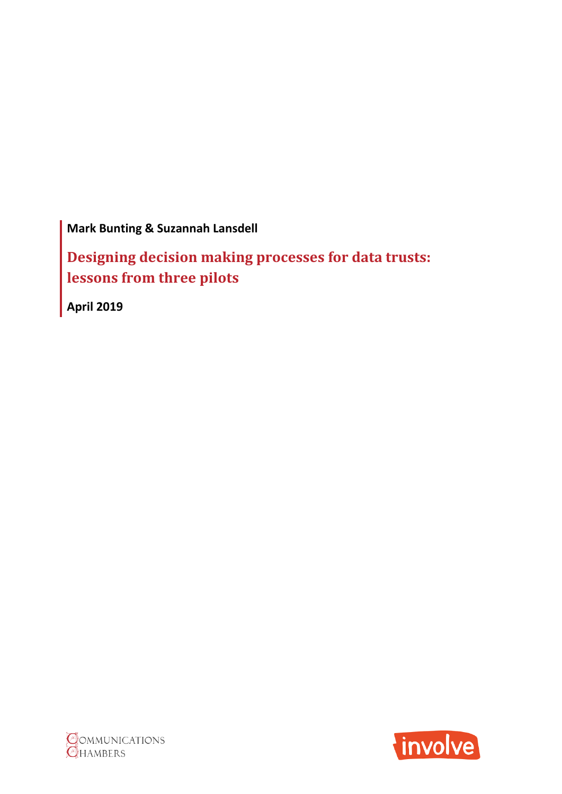**Mark Bunting & Suzannah Lansdell**

**Designing decision making processes for data trusts: lessons from three pilots**

**April 2019**



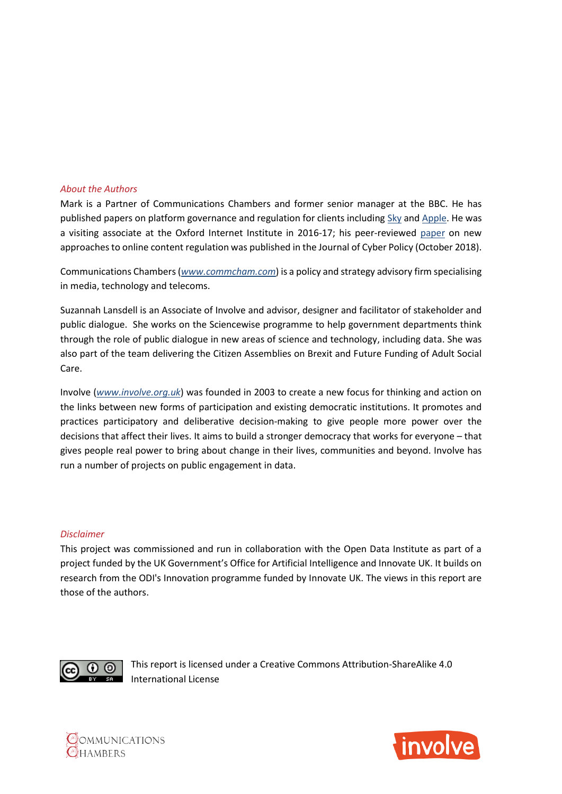#### *About the Authors*

Mark is a Partner of Communications Chambers and former senior manager at the BBC. He has published papers on platform governance and regulation for clients includin[g Sky](http://www.commcham.com/storage/Sky%20Platform%20Accountability%20FINAL%20020718%202200.pdf) and [Apple.](http://www.commcham.com/storage/Reconciling%20private%20market%20governance%20and%20law%20-%20a%20policy%20primer%20for%20platforms%20May%202018.pdf) He was a visiting associate at the Oxford Internet Institute in 2016-17; his peer-reviewed [paper](https://www.tandfonline.com/doi/full/10.1080/23738871.2018.1519030) on new approaches to online content regulation was published in the Journal of Cyber Policy (October 2018).

Communications Chambers (*[www.commcham.com](http://www.commcham.com/)*) is a policy and strategy advisory firm specialising in media, technology and telecoms.

Suzannah Lansdell is an Associate of Involve and advisor, designer and facilitator of stakeholder and public dialogue. She works on the Sciencewise programme to help government departments think through the role of public dialogue in new areas of science and technology, including data. She was also part of the team delivering the Citizen Assemblies on Brexit and Future Funding of Adult Social Care.

Involve (*[www.involve.org.uk](http://www.involve.org.uk/)*) was founded in 2003 to create a new focus for thinking and action on the links between new forms of participation and existing democratic institutions. It promotes and practices participatory and deliberative decision-making to give people more power over the decisions that affect their lives. It aims to build a stronger democracy that works for everyone – that gives people real power to bring about change in their lives, communities and beyond. Involve has run a number of projects on public engagement in data.

#### *Disclaimer*

This project was commissioned and run in collaboration with the Open Data Institute as part of a project funded by the UK Government's Office for Artificial Intelligence and Innovate UK. It builds on research from the ODI's Innovation programme funded by Innovate UK. The views in this report are those of the authors.



This report is licensed under a Creative Commons Attribution-ShareAlike 4.0 International License

COMMUNICATIONS

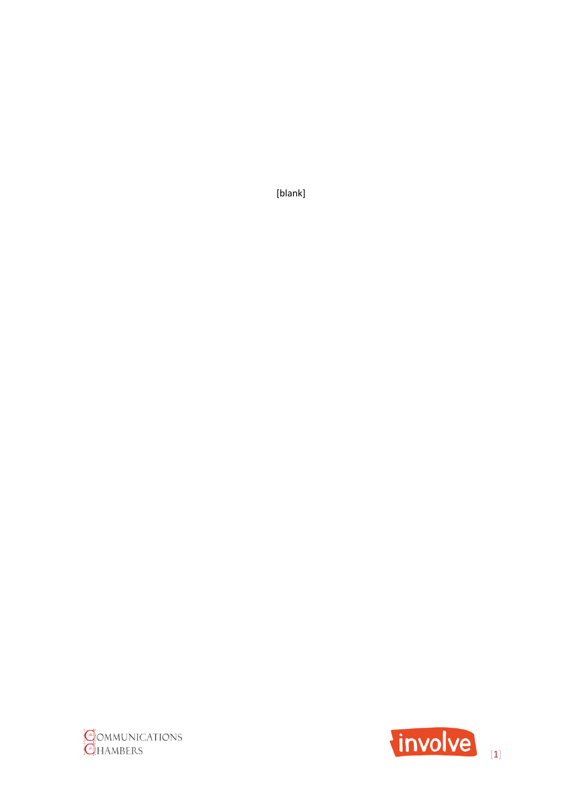[blank]



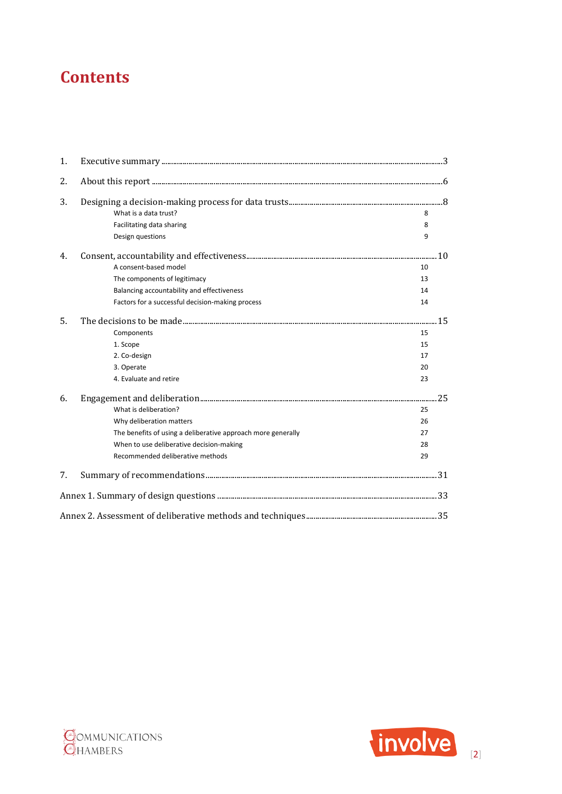## **Contents**

| 1.  |                                                              |    |
|-----|--------------------------------------------------------------|----|
| 2.  |                                                              |    |
| 3.  |                                                              |    |
|     | What is a data trust?                                        | 8  |
|     | Facilitating data sharing                                    | 8  |
|     | Design questions                                             | 9  |
| 4.  |                                                              |    |
|     | A consent-based model                                        | 10 |
|     | The components of legitimacy                                 | 13 |
|     | Balancing accountability and effectiveness                   | 14 |
|     | Factors for a successful decision-making process             | 14 |
| .5. |                                                              |    |
|     | Components                                                   | 15 |
|     | 1. Scope                                                     | 15 |
|     | 2. Co-design                                                 | 17 |
|     | 3. Operate                                                   | 20 |
|     | 4. Evaluate and retire                                       | 23 |
| 6.  |                                                              | 25 |
|     | What is deliberation?                                        | 25 |
|     | Why deliberation matters                                     | 26 |
|     | The benefits of using a deliberative approach more generally | 27 |
|     | When to use deliberative decision-making                     | 28 |
|     | Recommended deliberative methods                             | 29 |
| 7.  |                                                              |    |
|     |                                                              |    |
|     |                                                              |    |



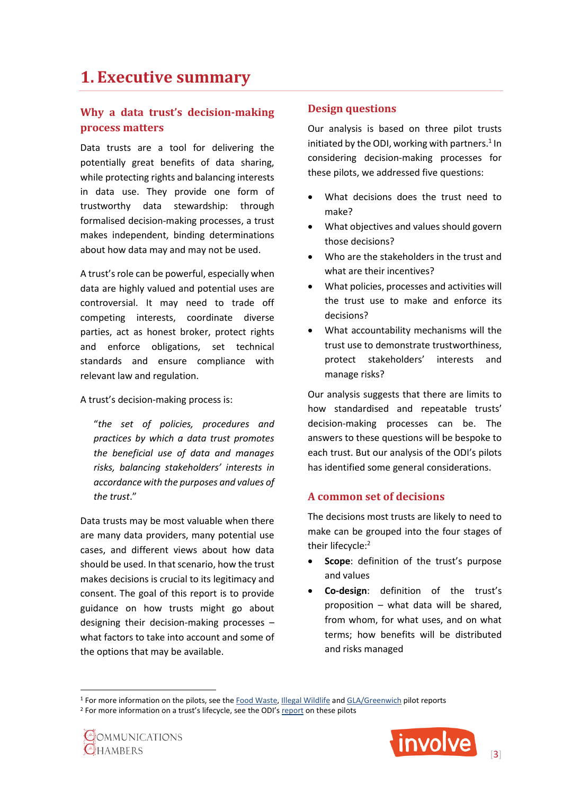## <span id="page-5-0"></span>**1. Executive summary**

### **Why a data trust's decision-making process matters**

Data trusts are a tool for delivering the potentially great benefits of data sharing, while protecting rights and balancing interests in data use. They provide one form of trustworthy data stewardship: through formalised decision-making processes, a trust makes independent, binding determinations about how data may and may not be used.

A trust's role can be powerful, especially when data are highly valued and potential uses are controversial. It may need to trade off competing interests, coordinate diverse parties, act as honest broker, protect rights and enforce obligations, set technical standards and ensure compliance with relevant law and regulation.

#### A trust's decision-making process is:

"*the set of policies, procedures and practices by which a data trust promotes the beneficial use of data and manages risks, balancing stakeholders' interests in accordance with the purposes and values of the trust*."

Data trusts may be most valuable when there are many data providers, many potential use cases, and different views about how data should be used. In that scenario, how the trust makes decisions is crucial to its legitimacy and consent. The goal of this report is to provide guidance on how trusts might go about designing their decision-making processes – what factors to take into account and some of the options that may be available.

## **Design questions**

Our analysis is based on three pilot trusts initiated by the ODI, working with partners.<sup>1</sup> In considering decision-making processes for these pilots, we addressed five questions:

- What decisions does the trust need to make?
- What objectives and values should govern those decisions?
- Who are the stakeholders in the trust and what are their incentives?
- What policies, processes and activities will the trust use to make and enforce its decisions?
- What accountability mechanisms will the trust use to demonstrate trustworthiness, protect stakeholders' interests and manage risks?

Our analysis suggests that there are limits to how standardised and repeatable trusts' decision-making processes can be. The answers to these questions will be bespoke to each trust. But our analysis of the ODI's pilots has identified some general considerations.

### **A common set of decisions**

The decisions most trusts are likely to need to make can be grouped into the four stages of their lifecycle:<sup>2</sup>

- **Scope**: definition of the trust's purpose and values
- **Co-design**: definition of the trust's proposition – what data will be shared, from whom, for what uses, and on what terms; how benefits will be distributed and risks managed

1



<sup>&</sup>lt;sup>1</sup> For more information on the pilots, see th[e Food Waste,](http://theodi.org/article/data-trusts-food-waste/) [Illegal Wildlife](http://theodi.org/article/data-trusts-wildlife/) and [GLA/Greenwich](http://theodi.org/article/data-trusts-gla/) pilot reports <sup>2</sup> For more information on a trust's lifecycle, see the ODI's [report](http://theodi.org/article/odi-data-trusts-report/) on these pilots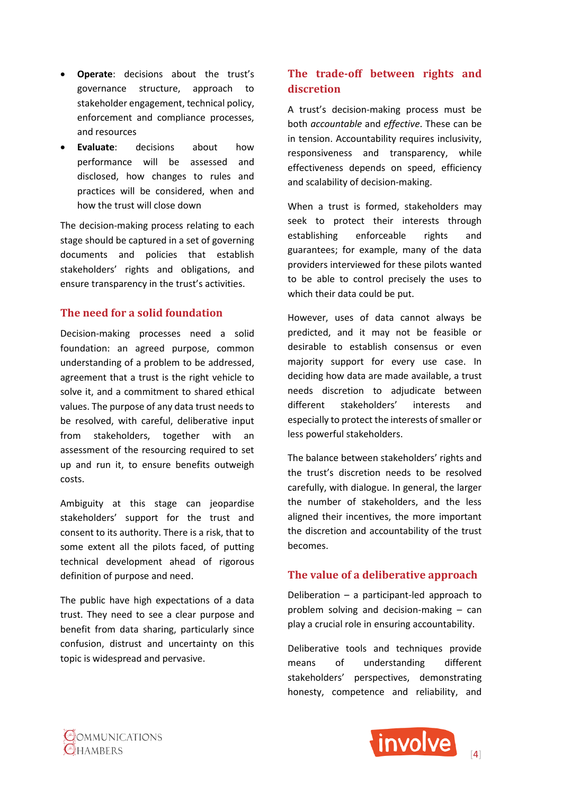- **Operate**: decisions about the trust's governance structure, approach to stakeholder engagement, technical policy, enforcement and compliance processes, and resources
- **Evaluate**: decisions about how performance will be assessed and disclosed, how changes to rules and practices will be considered, when and how the trust will close down

The decision-making process relating to each stage should be captured in a set of governing documents and policies that establish stakeholders' rights and obligations, and ensure transparency in the trust's activities.

#### **The need for a solid foundation**

Decision-making processes need a solid foundation: an agreed purpose, common understanding of a problem to be addressed, agreement that a trust is the right vehicle to solve it, and a commitment to shared ethical values. The purpose of any data trust needs to be resolved, with careful, deliberative input from stakeholders, together with an assessment of the resourcing required to set up and run it, to ensure benefits outweigh costs.

Ambiguity at this stage can jeopardise stakeholders' support for the trust and consent to its authority. There is a risk, that to some extent all the pilots faced, of putting technical development ahead of rigorous definition of purpose and need.

The public have high expectations of a data trust. They need to see a clear purpose and benefit from data sharing, particularly since confusion, distrust and uncertainty on this topic is widespread and pervasive.

## **The trade-off between rights and discretion**

A trust's decision-making process must be both *accountable* and *effective*. These can be in tension. Accountability requires inclusivity, responsiveness and transparency, while effectiveness depends on speed, efficiency and scalability of decision-making.

When a trust is formed, stakeholders may seek to protect their interests through establishing enforceable rights and guarantees; for example, many of the data providers interviewed for these pilots wanted to be able to control precisely the uses to which their data could be put.

However, uses of data cannot always be predicted, and it may not be feasible or desirable to establish consensus or even majority support for every use case. In deciding how data are made available, a trust needs discretion to adjudicate between different stakeholders' interests and especially to protect the interests of smaller or less powerful stakeholders.

The balance between stakeholders' rights and the trust's discretion needs to be resolved carefully, with dialogue. In general, the larger the number of stakeholders, and the less aligned their incentives, the more important the discretion and accountability of the trust becomes.

### **The value of a deliberative approach**

Deliberation – a participant-led approach to problem solving and decision-making – can play a crucial role in ensuring accountability.

Deliberative tools and techniques provide means of understanding different stakeholders' perspectives, demonstrating honesty, competence and reliability, and



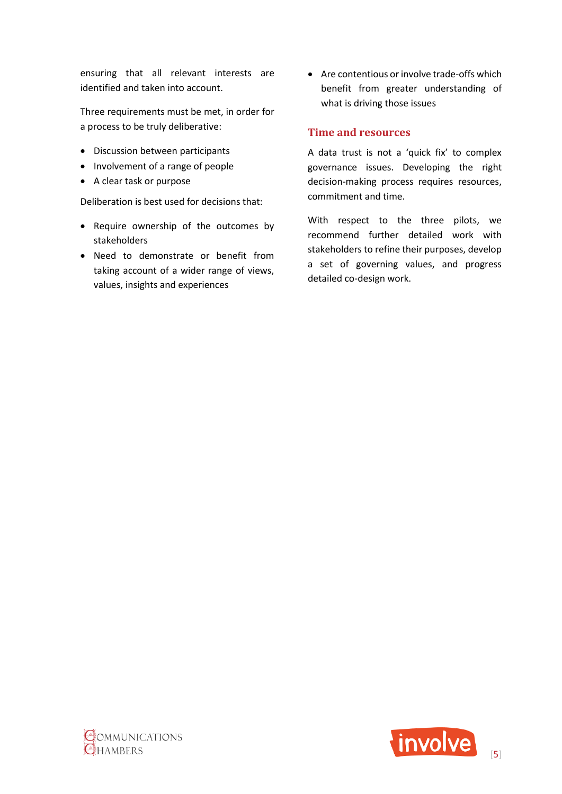ensuring that all relevant interests are identified and taken into account.

Three requirements must be met, in order for a process to be truly deliberative:

- Discussion between participants
- Involvement of a range of people
- A clear task or purpose

Deliberation is best used for decisions that:

- Require ownership of the outcomes by stakeholders
- Need to demonstrate or benefit from taking account of a wider range of views, values, insights and experiences

• Are contentious or involve trade-offs which benefit from greater understanding of what is driving those issues

#### **Time and resources**

A data trust is not a 'quick fix' to complex governance issues. Developing the right decision-making process requires resources, commitment and time.

With respect to the three pilots, we recommend further detailed work with stakeholders to refine their purposes, develop a set of governing values, and progress detailed co-design work.



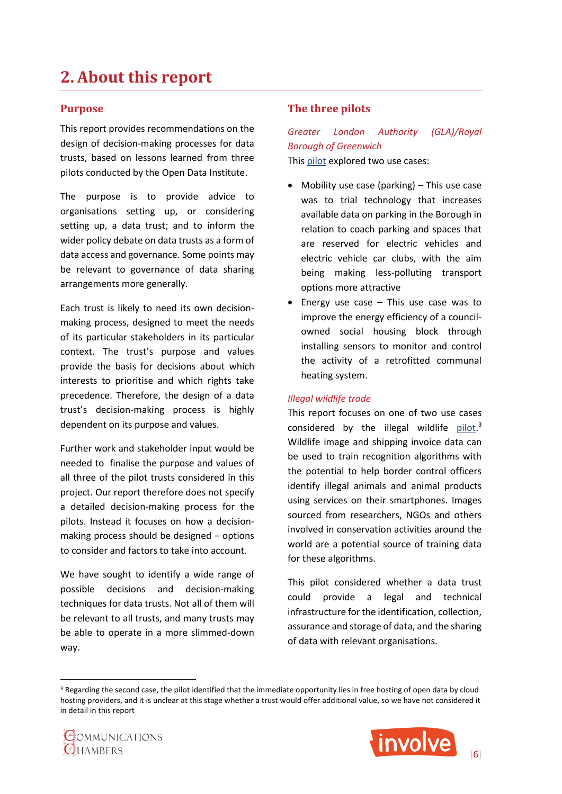# <span id="page-8-0"></span>**2. About this report**

## **Purpose**

This report provides recommendations on the design of decision-making processes for data trusts, based on lessons learned from three pilots conducted by the Open Data Institute.

The purpose is to provide advice to organisations setting up, or considering setting up, a data trust; and to inform the wider policy debate on data trusts as a form of data access and governance. Some points may be relevant to governance of data sharing arrangements more generally.

Each trust is likely to need its own decisionmaking process, designed to meet the needs of its particular stakeholders in its particular context. The trust's purpose and values provide the basis for decisions about which interests to prioritise and which rights take precedence. Therefore, the design of a data trust's decision-making process is highly dependent on its purpose and values.

Further work and stakeholder input would be needed to finalise the purpose and values of all three of the pilot trusts considered in this project. Our report therefore does not specify a detailed decision-making process for the pilots. Instead it focuses on how a decisionmaking process should be designed – options to consider and factors to take into account.

We have sought to identify a wide range of possible decisions and decision-making techniques for data trusts. Not all of them will be relevant to all trusts, and many trusts may be able to operate in a more slimmed-down way.

## **The three pilots**

*Greater London Authority (GLA)/Royal Borough of Greenwich* This [pilot](http://theodi.org/article/data-trusts-gla/) explored two use cases:

• Mobility use case (parking) – This use case

- was to trial technology that increases available data on parking in the Borough in relation to coach parking and spaces that are reserved for electric vehicles and electric vehicle car clubs, with the aim being making less-polluting transport options more attractive
- Energy use case This use case was to improve the energy efficiency of a councilowned social housing block through installing sensors to monitor and control the activity of a retrofitted communal heating system.

#### *Illegal wildlife trade*

This report focuses on one of two use cases considered by the illegal wildlife [pilot.](http://theodi.org/article/data-trusts-wildlife/)<sup>3</sup> Wildlife image and shipping invoice data can be used to train recognition algorithms with the potential to help border control officers identify illegal animals and animal products using services on their smartphones. Images sourced from researchers, NGOs and others involved in conservation activities around the world are a potential source of training data for these algorithms.

This pilot considered whether a data trust could provide a legal and technical infrastructure for the identification, collection, assurance and storage of data, and the sharing of data with relevant organisations.

<sup>&</sup>lt;sup>3</sup> Regarding the second case, the pilot identified that the immediate opportunity lies in free hosting of open data by cloud hosting providers, and it is unclear at this stage whether a trust would offer additional value, so we have not considered it in detail in this report



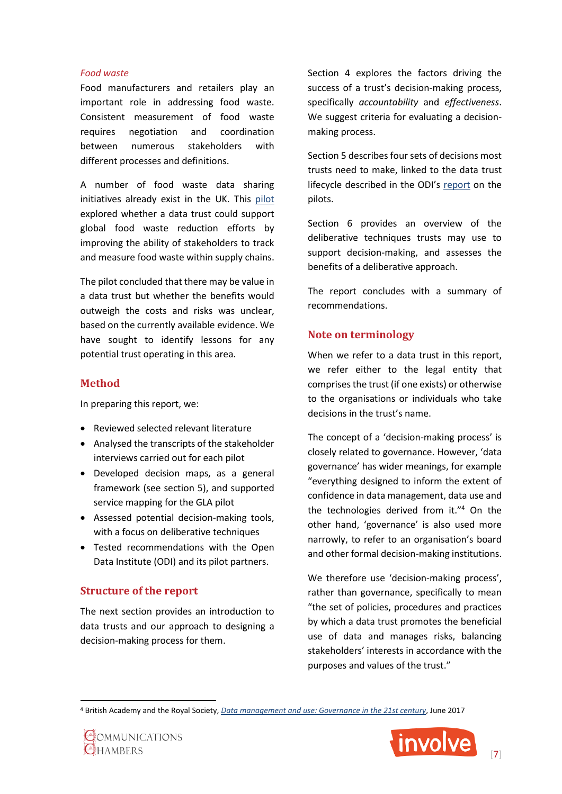#### *Food waste*

Food manufacturers and retailers play an important role in addressing food waste. Consistent measurement of food waste requires negotiation and coordination between numerous stakeholders with different processes and definitions.

A number of food waste data sharing initiatives already exist in the UK. This [pilot](http://theodi.org/article/data-trusts-food-waste/) explored whether a data trust could support global food waste reduction efforts by improving the ability of stakeholders to track and measure food waste within supply chains.

The pilot concluded that there may be value in a data trust but whether the benefits would outweigh the costs and risks was unclear, based on the currently available evidence. We have sought to identify lessons for any potential trust operating in this area.

#### **Method**

In preparing this report, we:

- Reviewed selected relevant literature
- Analysed the transcripts of the stakeholder interviews carried out for each pilot
- Developed decision maps, as a general framework (see section [5\)](#page-17-0), and supported service mapping for the GLA pilot
- Assessed potential decision-making tools, with a focus on deliberative techniques
- Tested recommendations with the Open Data Institute (ODI) and its pilot partners.

### **Structure of the report**

The next section provides an introduction to data trusts and our approach to designing a decision-making process for them.

Section [4](#page-12-0) explores the factors driving the success of a trust's decision-making process, specifically *accountability* and *effectiveness*. We suggest criteria for evaluating a decisionmaking process.

Sectio[n 5](#page-17-0) describes four sets of decisions most trusts need to make, linked to the data trust lifecycle described in the ODI's [report](http://theodi.org/article/odi-data-trusts-report/) on the pilots.

Section [6](#page-27-0) provides an overview of the deliberative techniques trusts may use to support decision-making, and assesses the benefits of a deliberative approach.

The report concludes with a summary of recommendations.

### **Note on terminology**

When we refer to a data trust in this report, we refer either to the legal entity that comprises the trust (if one exists) or otherwise to the organisations or individuals who take decisions in the trust's name.

The concept of a 'decision-making process' is closely related to governance. However, 'data governance' has wider meanings, for example "everything designed to inform the extent of confidence in data management, data use and the technologies derived from it."<sup>4</sup> On the other hand, 'governance' is also used more narrowly, to refer to an organisation's board and other formal decision-making institutions.

<span id="page-9-0"></span>We therefore use 'decision-making process', rather than governance, specifically to mean "the set of policies, procedures and practices by which a data trust promotes the beneficial use of data and manages risks, balancing stakeholders' interests in accordance with the purposes and values of the trust."

**.** 



<sup>4</sup> British Academy and the Royal Society, *[Data management and use: Governance in](https://royalsociety.org/-/media/policy/projects/data-governance/data-management-governance.pdf) the 21st century*, June 2017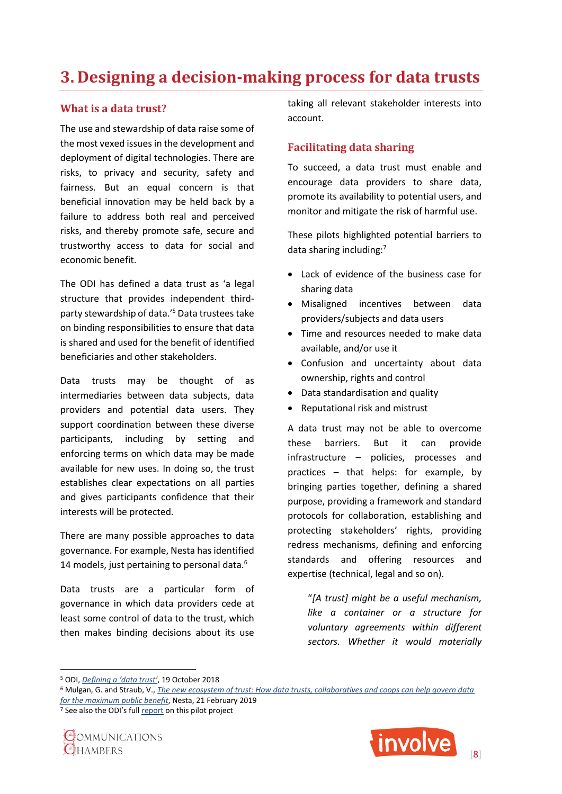## <span id="page-10-0"></span>**3. Designing a decision-making process for data trusts**

### <span id="page-10-1"></span>**What is a data trust?**

The use and stewardship of data raise some of the most vexed issues in the development and deployment of digital technologies. There are risks, to privacy and security, safety and fairness. But an equal concern is that beneficial innovation may be held back by a failure to address both real and perceived risks, and thereby promote safe, secure and trustworthy access to data for social and economic benefit.

The ODI has defined a data trust as 'a legal structure that provides independent thirdparty stewardship of data.'<sup>5</sup> Data trustees take on binding responsibilities to ensure that data is shared and used for the benefit of identified beneficiaries and other stakeholders.

Data trusts may be thought of as intermediaries between data subjects, data providers and potential data users. They support coordination between these diverse participants, including by setting and enforcing terms on which data may be made available for new uses. In doing so, the trust establishes clear expectations on all parties and gives participants confidence that their interests will be protected.

There are many possible approaches to data governance. For example, Nesta has identified 14 models, just pertaining to personal data.<sup>6</sup>

Data trusts are a particular form of governance in which data providers cede at least some control of data to the trust, which then makes binding decisions about its use

taking all relevant stakeholder interests into account.

#### <span id="page-10-2"></span>**Facilitating data sharing**

To succeed, a data trust must enable and encourage data providers to share data, promote its availability to potential users, and monitor and mitigate the risk of harmful use.

These pilots highlighted potential barriers to data sharing including:<sup>7</sup>

- Lack of evidence of the business case for sharing data
- Misaligned incentives between data providers/subjects and data users
- Time and resources needed to make data available, and/or use it
- Confusion and uncertainty about data ownership, rights and control
- Data standardisation and quality
- Reputational risk and mistrust

A data trust may not be able to overcome these barriers. But it can provide infrastructure – policies, processes and practices – that helps: for example, by bringing parties together, defining a shared purpose, providing a framework and standard protocols for collaboration, establishing and protecting stakeholders' rights, providing redress mechanisms, defining and enforcing standards and offering resources and expertise (technical, legal and so on).

> <span id="page-10-3"></span>"*[A trust] might be a useful mechanism, like a container or a structure for voluntary agreements within different sectors. Whether it would materially*

<sup>&</sup>lt;sup>7</sup> See also the ODI's full [report](http://theodi.org/article/odi-data-trusts-report/) on this pilot project



 $\overline{\phantom{a}}$ 



<sup>5</sup> ODI, *[Defining a 'data trust'](https://theodi.org/article/defining-a-data-trust/)*, 19 October 2018

<sup>6</sup> Mulgan, G. and Straub, V., *[The new ecosystem of trust: How data trusts, collaboratives and coops can help govern data](https://www.nesta.org.uk/blog/new-ecosystem-trust/)  [for the maximum public benefit](https://www.nesta.org.uk/blog/new-ecosystem-trust/)*, Nesta, 21 February 2019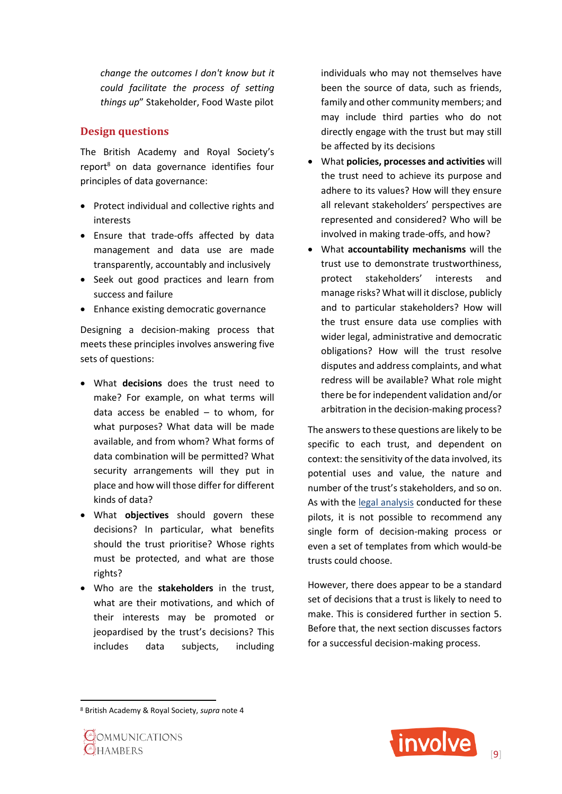*change the outcomes I don't know but it could facilitate the process of setting things up*" Stakeholder, Food Waste pilot

### <span id="page-11-0"></span>**Design questions**

The British Academy and Royal Society's report<sup>8</sup> on data governance identifies four principles of data governance:

- Protect individual and collective rights and interests
- Ensure that trade-offs affected by data management and data use are made transparently, accountably and inclusively
- Seek out good practices and learn from success and failure
- Enhance existing democratic governance

Designing a decision-making process that meets these principles involves answering five sets of questions:

- What **decisions** does the trust need to make? For example, on what terms will data access be enabled – to whom, for what purposes? What data will be made available, and from whom? What forms of data combination will be permitted? What security arrangements will they put in place and how will those differ for different kinds of data?
- What **objectives** should govern these decisions? In particular, what benefits should the trust prioritise? Whose rights must be protected, and what are those rights?
- Who are the **stakeholders** in the trust, what are their motivations, and which of their interests may be promoted or jeopardised by the trust's decisions? This includes data subjects, including

individuals who may not themselves have been the source of data, such as friends, family and other community members; and may include third parties who do not directly engage with the trust but may still be affected by its decisions

- What **policies, processes and activities** will the trust need to achieve its purpose and adhere to its values? How will they ensure all relevant stakeholders' perspectives are represented and considered? Who will be involved in making trade-offs, and how?
- What **accountability mechanisms** will the trust use to demonstrate trustworthiness, protect stakeholders' interests and manage risks? What will it disclose, publicly and to particular stakeholders? How will the trust ensure data use complies with wider legal, administrative and democratic obligations? How will the trust resolve disputes and address complaints, and what redress will be available? What role might there be for independent validation and/or arbitration in the decision-making process?

The answers to these questions are likely to be specific to each trust, and dependent on context: the sensitivity of the data involved, its potential uses and value, the nature and number of the trust's stakeholders, and so on. As with th[e legal analysis](http://theodi.org/article/data-trusts-legal-report/) conducted for these pilots, it is not possible to recommend any single form of decision-making process or even a set of templates from which would-be trusts could choose.

However, there does appear to be a standard set of decisions that a trust is likely to need to make. This is considered further in section [5.](#page-17-0) Before that, the next section discusses factors for a successful decision-making process.

<sup>8</sup> British Academy & Royal Society, *supra* note [4](#page-9-0)



**.** 

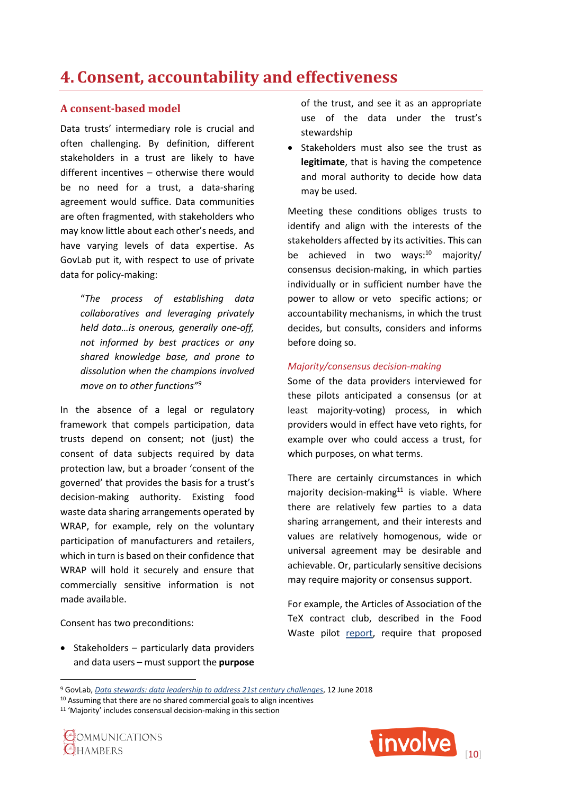## <span id="page-12-0"></span>**4. Consent, accountability and effectiveness**

### <span id="page-12-1"></span>**A consent-based model**

Data trusts' intermediary role is crucial and often challenging. By definition, different stakeholders in a trust are likely to have different incentives – otherwise there would be no need for a trust, a data-sharing agreement would suffice. Data communities are often fragmented, with stakeholders who may know little about each other's needs, and have varying levels of data expertise. As GovLab put it, with respect to use of private data for policy-making:

"*The process of establishing data collaboratives and leveraging privately held data…is onerous, generally one-off, not informed by best practices or any shared knowledge base, and prone to dissolution when the champions involved move on to other functions" 9*

In the absence of a legal or regulatory framework that compels participation, data trusts depend on consent; not (just) the consent of data subjects required by data protection law, but a broader 'consent of the governed' that provides the basis for a trust's decision-making authority. Existing food waste data sharing arrangements operated by WRAP, for example, rely on the voluntary participation of manufacturers and retailers, which in turn is based on their confidence that WRAP will hold it securely and ensure that commercially sensitive information is not made available.

of the trust, and see it as an appropriate use of the data under the trust's stewardship

• Stakeholders must also see the trust as **legitimate**, that is having the competence and moral authority to decide how data may be used.

Meeting these conditions obliges trusts to identify and align with the interests of the stakeholders affected by its activities. This can be achieved in two ways: $10$  majority/ consensus decision-making, in which parties individually or in sufficient number have the power to allow or veto specific actions; or accountability mechanisms, in which the trust decides, but consults, considers and informs before doing so.

#### *Majority/consensus decision-making*

<span id="page-12-2"></span>Some of the data providers interviewed for these pilots anticipated a consensus (or at least majority-voting) process, in which providers would in effect have veto rights, for example over who could access a trust, for which purposes, on what terms.

There are certainly circumstances in which majority decision-making $11$  is viable. Where there are relatively few parties to a data sharing arrangement, and their interests and values are relatively homogenous, wide or universal agreement may be desirable and achievable. Or, particularly sensitive decisions may require majority or consensus support.

For example, the Articles of Association of the TeX contract club, described in the Food Waste pilot [report,](http://theodi.org/article/data-trusts-food-waste/) require that proposed

Consent has two preconditions:

• Stakeholders – particularly data providers and data users – must support the **purpose** 

<sup>11</sup> 'Majority' includes consensual decision-making in this section





<sup>9</sup> GovLab, *[Data stewards: data leadership to address 21st century challenges](https://medium.com/@TheGovLab/data-stewards-data-leadership-to-address-21st-century-challenges-a5e555cd4235)*, 12 June 2018

<sup>&</sup>lt;sup>10</sup> Assuming that there are no shared commercial goals to align incentives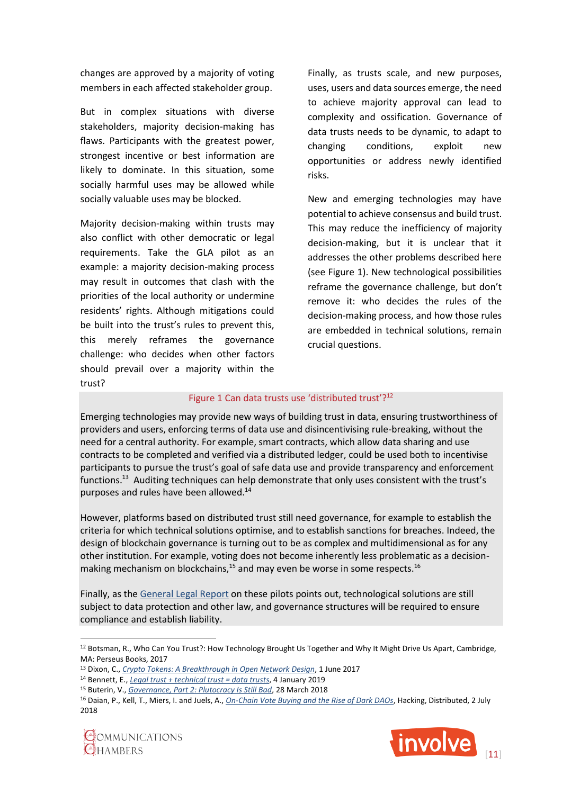changes are approved by a majority of voting members in each affected stakeholder group.

But in complex situations with diverse stakeholders, majority decision-making has flaws. Participants with the greatest power, strongest incentive or best information are likely to dominate. In this situation, some socially harmful uses may be allowed while socially valuable uses may be blocked.

Majority decision-making within trusts may also conflict with other democratic or legal requirements. Take the GLA pilot as an example: a majority decision-making process may result in outcomes that clash with the priorities of the local authority or undermine residents' rights. Although mitigations could be built into the trust's rules to prevent this, this merely reframes the governance challenge: who decides when other factors should prevail over a majority within the trust?

Finally, as trusts scale, and new purposes, uses, users and data sources emerge, the need to achieve majority approval can lead to complexity and ossification. Governance of data trusts needs to be dynamic, to adapt to changing conditions, exploit new opportunities or address newly identified risks.

New and emerging technologies may have potential to achieve consensus and build trust. This may reduce the inefficiency of majority decision-making, but it is unclear that it addresses the other problems described here (see [Figure](#page-13-0) 1). New technological possibilities reframe the governance challenge, but don't remove it: who decides the rules of the decision-making process, and how those rules are embedded in technical solutions, remain crucial questions.

#### Figure 1 Can data trusts use 'distributed trust'?<sup>12</sup>

<span id="page-13-0"></span>Emerging technologies may provide new ways of building trust in data, ensuring trustworthiness of providers and users, enforcing terms of data use and disincentivising rule-breaking, without the need for a central authority. For example, smart contracts, which allow data sharing and use contracts to be completed and verified via a distributed ledger, could be used both to incentivise participants to pursue the trust's goal of safe data use and provide transparency and enforcement functions.<sup>13</sup> Auditing techniques can help demonstrate that only uses consistent with the trust's purposes and rules have been allowed.<sup>14</sup>

However, platforms based on distributed trust still need governance, for example to establish the criteria for which technical solutions optimise, and to establish sanctions for breaches. Indeed, the design of blockchain governance is turning out to be as complex and multidimensional as for any other institution. For example, voting does not become inherently less problematic as a decisionmaking mechanism on blockchains,  $15$  and may even be worse in some respects.  $16$ 

Finally, as th[e General Legal Report](http://theodi.org/article/data-trusts-legal-report/) on these pilots points out, technological solutions are still subject to data protection and other law, and governance structures will be required to ensure compliance and establish liability.

<sup>16</sup> Daian, P., Kell, T., Miers, I. and Juels, A., *[On-Chain Vote Buying and the Rise of Dark DAOs](http://hackingdistributed.com/2018/07/02/on-chain-vote-buying/)*, Hacking, Distributed, 2 July 2018



**.** 



<sup>&</sup>lt;sup>12</sup> Botsman, R., Who Can You Trust?: How Technology Brought Us Together and Why It Might Drive Us Apart, Cambridge, MA: Perseus Books, 2017

<sup>13</sup> Dixon, C., *[Crypto Tokens: A Breakthrough in Open Network Design](https://medium.com/@cdixon/crypto-tokens-a-breakthrough-in-open-network-design-e600975be2ef)*, 1 June 2017

<sup>14</sup> Bennett, E., *[Legal trust + technical trust = data trusts](https://registers.blog/2019/01/04/data-trusts.html)*, 4 January 2019

<sup>15</sup> Buterin, V., *[Governance, Part 2: Plutocracy Is Still Bad](https://vitalik.ca/general/2018/03/28/plutocracy.html)*, 28 March 2018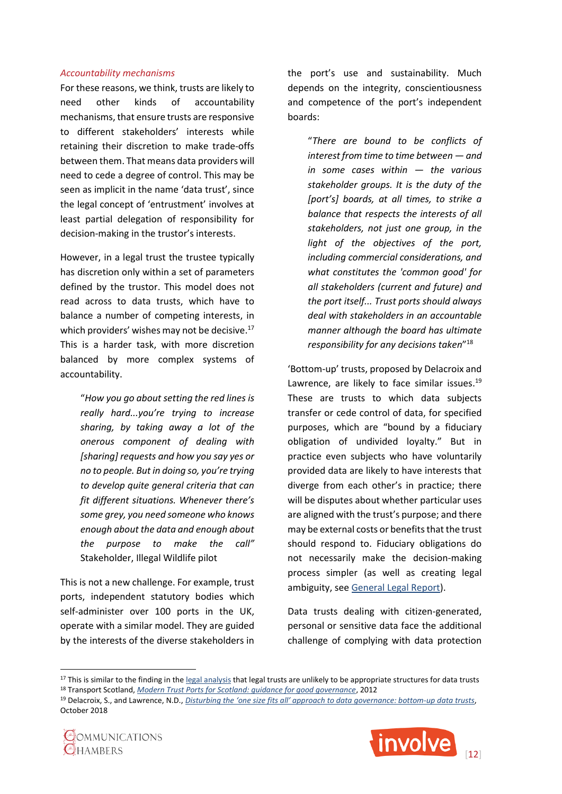#### *Accountability mechanisms*

For these reasons, we think, trusts are likely to need other kinds of accountability mechanisms, that ensure trusts are responsive to different stakeholders' interests while retaining their discretion to make trade-offs between them. That means data providers will need to cede a degree of control. This may be seen as implicit in the name 'data trust', since the legal concept of 'entrustment' involves at least partial delegation of responsibility for decision-making in the trustor's interests.

However, in a legal trust the trustee typically has discretion only within a set of parameters defined by the trustor. This model does not read across to data trusts, which have to balance a number of competing interests, in which providers' wishes may not be decisive.<sup>17</sup> This is a harder task, with more discretion balanced by more complex systems of accountability.

"*How you go about setting the red lines is really hard...you're trying to increase sharing, by taking away a lot of the onerous component of dealing with [sharing] requests and how you say yes or no to people. But in doing so, you're trying to develop quite general criteria that can fit different situations. Whenever there's some grey, you need someone who knows enough about the data and enough about the purpose to make the call"* Stakeholder, Illegal Wildlife pilot

This is not a new challenge. For example, trust ports, independent statutory bodies which self-administer over 100 ports in the UK, operate with a similar model. They are guided by the interests of the diverse stakeholders in

the port's use and sustainability. Much depends on the integrity, conscientiousness and competence of the port's independent boards:

> "*There are bound to be conflicts of interest from time to time between — and in some cases within — the various stakeholder groups. It is the duty of the [port's] boards, at all times, to strike a balance that respects the interests of all stakeholders, not just one group, in the light of the objectives of the port, including commercial considerations, and what constitutes the 'common good' for all stakeholders (current and future) and the port itself... Trust ports should always deal with stakeholders in an accountable manner although the board has ultimate responsibility for any decisions taken*" 18

<span id="page-14-0"></span>'Bottom-up' trusts, proposed by Delacroix and Lawrence, are likely to face similar issues.<sup>19</sup> These are trusts to which data subjects transfer or cede control of data, for specified purposes, which are "bound by a fiduciary obligation of undivided loyalty." But in practice even subjects who have voluntarily provided data are likely to have interests that diverge from each other's in practice; there will be disputes about whether particular uses are aligned with the trust's purpose; and there may be external costs or benefits that the trust should respond to. Fiduciary obligations do not necessarily make the decision-making process simpler (as well as creating legal ambiguity, see [General Legal Report\)](http://theodi.org/article/data-trusts-legal-report/).

Data trusts dealing with citizen-generated, personal or sensitive data face the additional challenge of complying with data protection

<sup>19</sup> Delacroix, S., and Lawrence, N.D., *Disturbing the 'one size fits all' appro[ach to data governance: bottom-up data trusts](https://papers.ssrn.com/sol3/papers.cfm?abstract_id=3265315)*, October 2018



 $\overline{\phantom{a}}$ 



<sup>&</sup>lt;sup>17</sup> This is similar to the finding in th[e legal analysis](http://theodi.org/article/data-trusts-legal-report/) that legal trusts are unlikely to be appropriate structures for data trusts <sup>18</sup> Transport Scotland, *[Modern Trust Ports for Scotland: guidance for good governance](https://www.transport.gov.scot/media/29818/j249946.pdf)*, 2012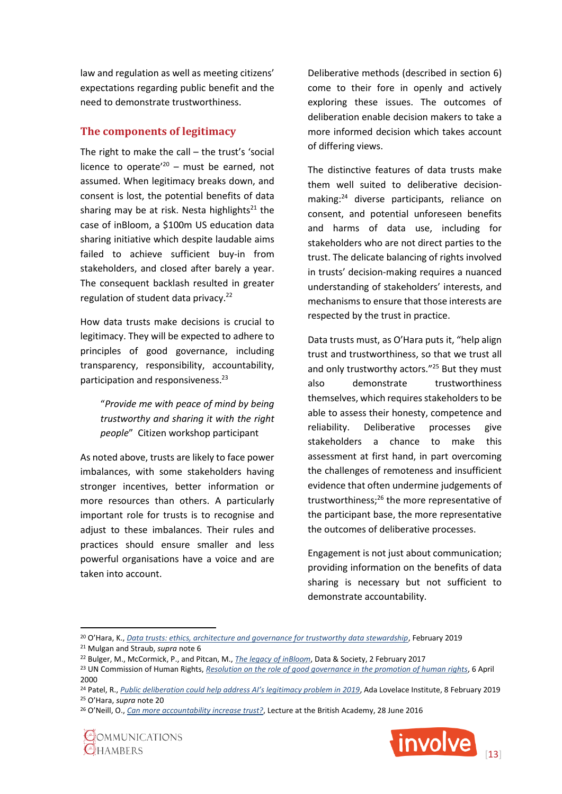law and regulation as well as meeting citizens' expectations regarding public benefit and the need to demonstrate trustworthiness.

### <span id="page-15-0"></span>**The components of legitimacy**

<span id="page-15-1"></span>The right to make the call – the trust's 'social licence to operate<sup>'20</sup> – must be earned, not assumed. When legitimacy breaks down, and consent is lost, the potential benefits of data sharing may be at risk. Nesta highlights<sup>21</sup> the case of inBloom, a \$100m US education data sharing initiative which despite laudable aims failed to achieve sufficient buy-in from stakeholders, and closed after barely a year. The consequent backlash resulted in greater regulation of student data privacy. $^{22}$ 

How data trusts make decisions is crucial to legitimacy. They will be expected to adhere to principles of good governance, including transparency, responsibility, accountability, participation and responsiveness. 23

"*Provide me with peace of mind by being trustworthy and sharing it with the right people*" Citizen workshop participant

As noted above, trusts are likely to face power imbalances, with some stakeholders having stronger incentives, better information or more resources than others. A particularly important role for trusts is to recognise and adjust to these imbalances. Their rules and practices should ensure smaller and less powerful organisations have a voice and are taken into account.

Deliberative methods (described in section [6\)](#page-27-0) come to their fore in openly and actively exploring these issues. The outcomes of deliberation enable decision makers to take a more informed decision which takes account of differing views.

The distinctive features of data trusts make them well suited to deliberative decisionmaking: <sup>24</sup> diverse participants, reliance on consent, and potential unforeseen benefits and harms of data use, including for stakeholders who are not direct parties to the trust. The delicate balancing of rights involved in trusts' decision-making requires a nuanced understanding of stakeholders' interests, and mechanisms to ensure that those interests are respected by the trust in practice.

Data trusts must, as O'Hara puts it, "help align trust and trustworthiness, so that we trust all and only trustworthy actors."<sup>25</sup> But they must also demonstrate trustworthiness themselves, which requires stakeholders to be able to assess their honesty, competence and reliability. Deliberative processes give stakeholders a chance to make this assessment at first hand, in part overcoming the challenges of remoteness and insufficient evidence that often undermine judgements of trustworthiness; <sup>26</sup> the more representative of the participant base, the more representative the outcomes of deliberative processes.

Engagement is not just about communication; providing information on the benefits of data sharing is necessary but not sufficient to demonstrate accountability.

<sup>26</sup> O'Neill, O., *[Can more accountability increase trust?](https://www.thebritishacademy.ac.uk/audio/onora-oneill-can-more-accountability-increase-trust)*, Lecture at the British Academy, 28 June 2016



**.** 



<sup>20</sup> O'Hara, K., *[Data trusts: ethics, architecture and governance for trustworthy data stewardship](https://cdn.southampton.ac.uk/assets/imported/transforms/content-block/UsefulDownloads_Download/0326D18DCC9E4BD08816BB5F994FCA76/White%20Papers%20No1.pdf)*, February 2019 <sup>21</sup> Mulgan and Straub, *supra* not[e 6](#page-10-3)

<sup>22</sup> Bulger, M., McCormick, P., and Pitcan, M., *[The legacy of inBloom](https://datasociety.net/pubs/ecl/InBloom_feb_2017.pdf)*, Data & Society, 2 February 2017

<sup>23</sup> UN Commission of Human Rights, *[Resolution on the role of good governance in the promotion of human rights](http://ap.ohchr.org/documents/E/CHR/resolutions/E-CN_4-RES-2000-64.doc)*, 6 April 2000

<sup>24</sup> Patel, R., *Public de[liberation could help address AI's legitimacy problem in 2019](https://www.adalovelaceinstitute.org/public-deliberation-could-help-address-ais-legitimacy-problem-in-2019/)*, Ada Lovelace Institute, 8 February 2019 <sup>25</sup> O'Hara, *supra* not[e 20](#page-15-1)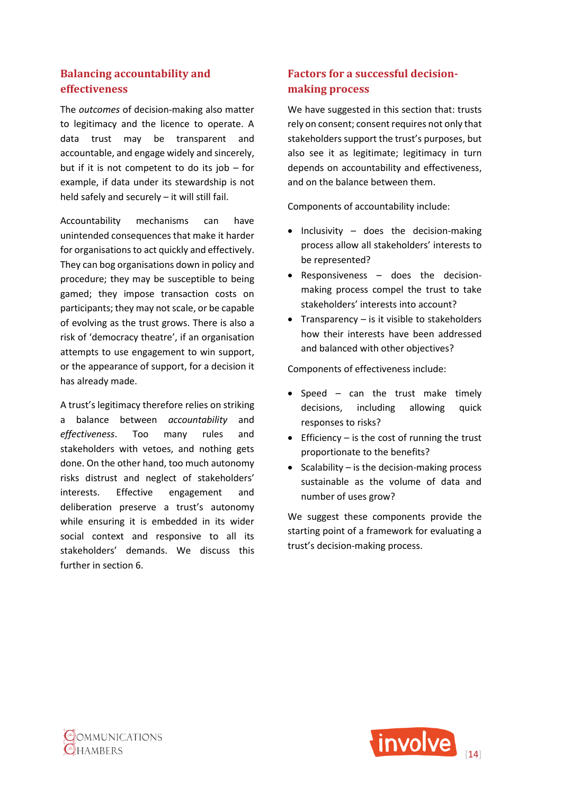## <span id="page-16-0"></span>**Balancing accountability and effectiveness**

The *outcomes* of decision-making also matter to legitimacy and the licence to operate. A data trust may be transparent and accountable, and engage widely and sincerely, but if it is not competent to do its job – for example, if data under its stewardship is not held safely and securely – it will still fail.

Accountability mechanisms can have unintended consequences that make it harder for organisations to act quickly and effectively. They can bog organisations down in policy and procedure; they may be susceptible to being gamed; they impose transaction costs on participants; they may not scale, or be capable of evolving as the trust grows. There is also a risk of 'democracy theatre', if an organisation attempts to use engagement to win support, or the appearance of support, for a decision it has already made.

A trust's legitimacy therefore relies on striking a balance between *accountability* and *effectiveness*. Too many rules and stakeholders with vetoes, and nothing gets done. On the other hand, too much autonomy risks distrust and neglect of stakeholders' interests. Effective engagement and deliberation preserve a trust's autonomy while ensuring it is embedded in its wider social context and responsive to all its stakeholders' demands. We discuss this further in sectio[n 6.](#page-27-0)

## <span id="page-16-1"></span>**Factors for a successful decisionmaking process**

We have suggested in this section that: trusts rely on consent; consent requires not only that stakeholders support the trust's purposes, but also see it as legitimate; legitimacy in turn depends on accountability and effectiveness, and on the balance between them.

Components of accountability include:

- Inclusivity does the decision-making process allow all stakeholders' interests to be represented?
- Responsiveness does the decisionmaking process compel the trust to take stakeholders' interests into account?
- Transparency  $-$  is it visible to stakeholders how their interests have been addressed and balanced with other objectives?

Components of effectiveness include:

- Speed can the trust make timely decisions, including allowing quick responses to risks?
- Efficiency is the cost of running the trust proportionate to the benefits?
- Scalability is the decision-making process sustainable as the volume of data and number of uses grow?

We suggest these components provide the starting point of a framework for evaluating a trust's decision-making process.



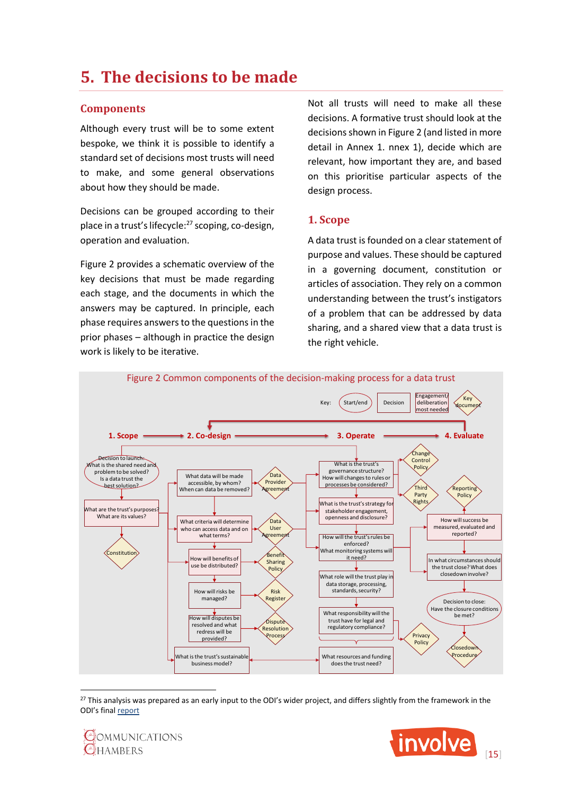# <span id="page-17-0"></span>**5. The decisions to be made**

## <span id="page-17-1"></span>**Components**

Although every trust will be to some extent bespoke, we think it is possible to identify a standard set of decisions most trusts will need to make, and some general observations about how they should be made.

Decisions can be grouped according to their place in a trust's lifecycle:<sup>27</sup> scoping, co-design, operation and evaluation.

[Figure 2](#page-17-3) provides a schematic overview of the key decisions that must be made regarding each stage, and the documents in which the answers may be captured. In principle, each phase requires answers to the questions in the prior phases – although in practice the design work is likely to be iterative.

Not all trusts will need to make all these decisions. A formative trust should look at the decisions shown i[n Figure 2](#page-17-3) (and listed in more detail in [Annex](#page-35-0) 1. nnex 1), decide which are relevant, how important they are, and based on this prioritise particular aspects of the design process.

## <span id="page-17-2"></span>**1. Scope**

A data trust is founded on a clear statement of purpose and values. These should be captured in a governing document, constitution or articles of association. They rely on a common understanding between the trust's instigators of a problem that can be addressed by data sharing, and a shared view that a data trust is the right vehicle.

<span id="page-17-3"></span>

<sup>27</sup> This analysis was prepared as an early input to the ODI's wider project, and differs slightly from the framework in the ODI's final [report](http://theodi.org/article/odi-data-trusts-report/)



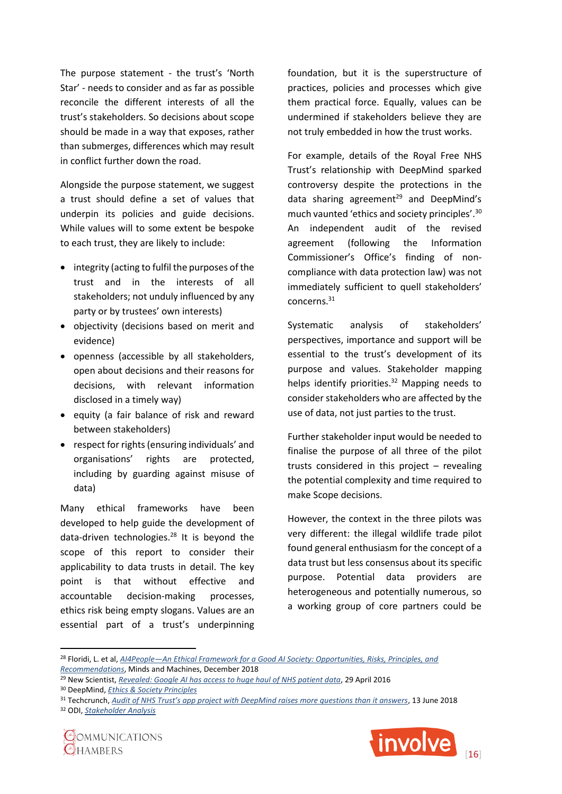The purpose statement - the trust's 'North Star' - needs to consider and as far as possible reconcile the different interests of all the trust's stakeholders. So decisions about scope should be made in a way that exposes, rather than submerges, differences which may result in conflict further down the road.

Alongside the purpose statement, we suggest a trust should define a set of values that underpin its policies and guide decisions. While values will to some extent be bespoke to each trust, they are likely to include:

- integrity (acting to fulfil the purposes of the trust and in the interests of all stakeholders; not unduly influenced by any party or by trustees' own interests)
- objectivity (decisions based on merit and evidence)
- openness (accessible by all stakeholders, open about decisions and their reasons for decisions, with relevant information disclosed in a timely way)
- equity (a fair balance of risk and reward between stakeholders)
- respect for rights (ensuring individuals' and organisations' rights are protected, including by guarding against misuse of data)

<span id="page-18-0"></span>Many ethical frameworks have been developed to help guide the development of data-driven technologies. <sup>28</sup> It is beyond the scope of this report to consider their applicability to data trusts in detail. The key point is that without effective and accountable decision-making processes, ethics risk being empty slogans. Values are an essential part of a trust's underpinning foundation, but it is the superstructure of practices, policies and processes which give them practical force. Equally, values can be undermined if stakeholders believe they are not truly embedded in how the trust works.

For example, details of the Royal Free NHS Trust's relationship with DeepMind sparked controversy despite the protections in the data sharing agreement<sup>29</sup> and DeepMind's much vaunted 'ethics and society principles'. 30 An independent audit of the revised agreement (following the Information Commissioner's Office's finding of noncompliance with data protection law) was not immediately sufficient to quell stakeholders' concerns. 31

Systematic analysis of stakeholders' perspectives, importance and support will be essential to the trust's development of its purpose and values. Stakeholder mapping helps identify priorities.<sup>32</sup> Mapping needs to consider stakeholders who are affected by the use of data, not just parties to the trust.

Further stakeholder input would be needed to finalise the purpose of all three of the pilot trusts considered in this project – revealing the potential complexity and time required to make Scope decisions.

However, the context in the three pilots was very different: the illegal wildlife trade pilot found general enthusiasm for the concept of a data trust but less consensus about its specific purpose. Potential data providers are heterogeneous and potentially numerous, so a working group of core partners could be



<sup>28</sup> Floridi, L. et al, *AI4People—[An Ethical Framework for a Good AI Society: Opportunities, Risks, Principles, and](https://doi.org/10.1007/s11023-018-9482-5)  [Recommendations](https://doi.org/10.1007/s11023-018-9482-5)*, Minds and Machines, December 2018

<sup>29</sup> New Scientist, *[Revealed: Google AI has access to huge haul of NHS patient data](https://www.newscientist.com/article/2086454-revealed-google-ai-has-access-to-huge-haul-of-nhs-patient-data/)*, 29 April 2016

<sup>30</sup> DeepMind, *[Ethics & Society Principles](https://deepmind.com/applied/deepmind-ethics-society/principles/)*

<sup>31</sup> Techcrunch, *A[udit of NHS Trust's app project with DeepMind raises more questions than it answers](https://techcrunch.com/2018/06/13/audit-of-nhs-trusts-app-project-with-deepmind-raises-more-questions-than-it-answers)*, 13 June 2018 <sup>32</sup> ODI, *[Stakeholder Analysis](https://www.odi.org/sites/odi.org.uk/files/odi-assets/publications-opinion-files/6459.pdf)*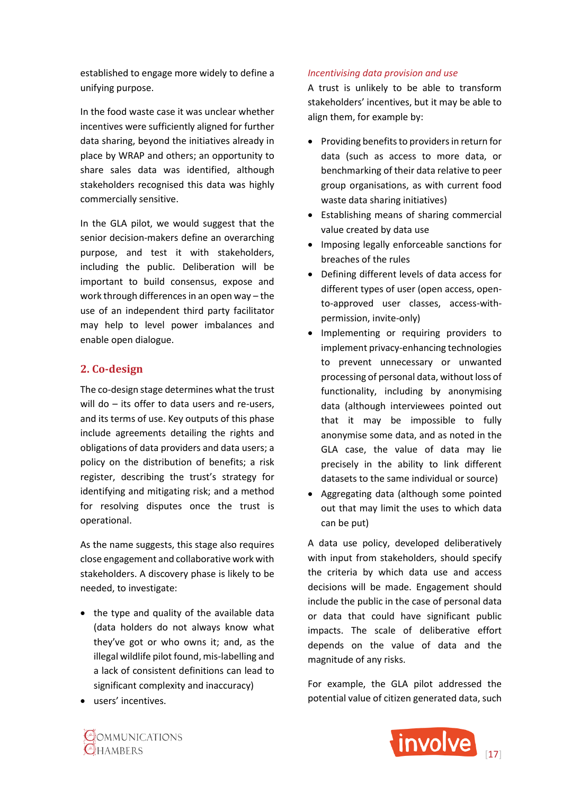established to engage more widely to define a unifying purpose.

In the food waste case it was unclear whether incentives were sufficiently aligned for further data sharing, beyond the initiatives already in place by WRAP and others; an opportunity to share sales data was identified, although stakeholders recognised this data was highly commercially sensitive.

In the GLA pilot, we would suggest that the senior decision-makers define an overarching purpose, and test it with stakeholders, including the public. Deliberation will be important to build consensus, expose and work through differences in an open way – the use of an independent third party facilitator may help to level power imbalances and enable open dialogue.

## <span id="page-19-0"></span>**2. Co-design**

The co-design stage determines what the trust will do – its offer to data users and re-users, and its terms of use. Key outputs of this phase include agreements detailing the rights and obligations of data providers and data users; a policy on the distribution of benefits; a risk register, describing the trust's strategy for identifying and mitigating risk; and a method for resolving disputes once the trust is operational.

As the name suggests, this stage also requires close engagement and collaborative work with stakeholders. A discovery phase is likely to be needed, to investigate:

- the type and quality of the available data (data holders do not always know what they've got or who owns it; and, as the illegal wildlife pilot found, mis-labelling and a lack of consistent definitions can lead to significant complexity and inaccuracy)
- users' incentives.

#### *Incentivising data provision and use*

A trust is unlikely to be able to transform stakeholders' incentives, but it may be able to align them, for example by:

- Providing benefits to providers in return for data (such as access to more data, or benchmarking of their data relative to peer group organisations, as with current food waste data sharing initiatives)
- Establishing means of sharing commercial value created by data use
- Imposing legally enforceable sanctions for breaches of the rules
- Defining different levels of data access for different types of user (open access, opento-approved user classes, access-withpermission, invite-only)
- Implementing or requiring providers to implement privacy-enhancing technologies to prevent unnecessary or unwanted processing of personal data, without loss of functionality, including by anonymising data (although interviewees pointed out that it may be impossible to fully anonymise some data, and as noted in the GLA case, the value of data may lie precisely in the ability to link different datasets to the same individual or source)
- Aggregating data (although some pointed out that may limit the uses to which data can be put)

A data use policy, developed deliberatively with input from stakeholders, should specify the criteria by which data use and access decisions will be made. Engagement should include the public in the case of personal data or data that could have significant public impacts. The scale of deliberative effort depends on the value of data and the magnitude of any risks.

For example, the GLA pilot addressed the potential value of citizen generated data, such



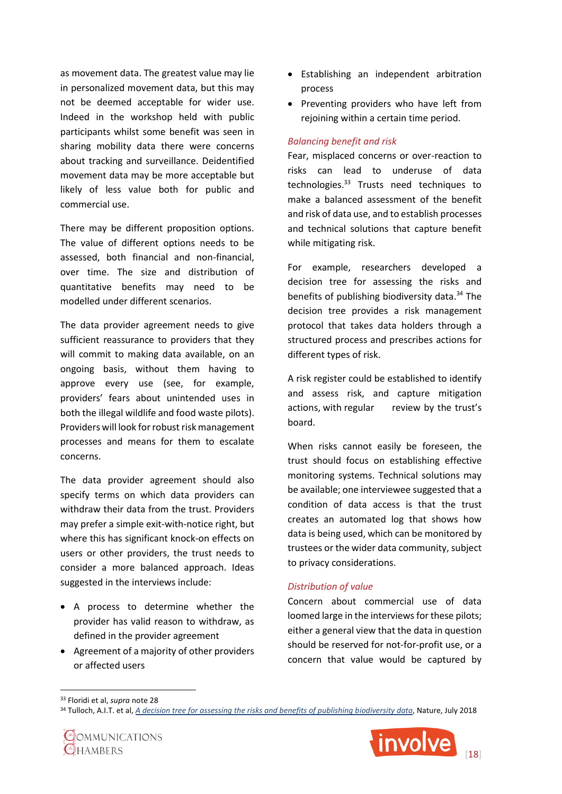as movement data. The greatest value may lie in personalized movement data, but this may not be deemed acceptable for wider use. Indeed in the workshop held with public participants whilst some benefit was seen in sharing mobility data there were concerns about tracking and surveillance. Deidentified movement data may be more acceptable but likely of less value both for public and commercial use.

There may be different proposition options. The value of different options needs to be assessed, both financial and non-financial, over time. The size and distribution of quantitative benefits may need to be modelled under different scenarios.

The data provider agreement needs to give sufficient reassurance to providers that they will commit to making data available, on an ongoing basis, without them having to approve every use (see, for example, providers' fears about unintended uses in both the illegal wildlife and food waste pilots). Providers will look for robust risk management processes and means for them to escalate concerns.

The data provider agreement should also specify terms on which data providers can withdraw their data from the trust. Providers may prefer a simple exit-with-notice right, but where this has significant knock-on effects on users or other providers, the trust needs to consider a more balanced approach. Ideas suggested in the interviews include:

- A process to determine whether the provider has valid reason to withdraw, as defined in the provider agreement
- Agreement of a majority of other providers or affected users
- Establishing an independent arbitration process
- Preventing providers who have left from rejoining within a certain time period.

#### *Balancing benefit and risk*

Fear, misplaced concerns or over-reaction to risks can lead to underuse of data technologies.<sup>33</sup> Trusts need techniques to make a balanced assessment of the benefit and risk of data use, and to establish processes and technical solutions that capture benefit while mitigating risk.

For example, researchers developed a decision tree for assessing the risks and benefits of publishing biodiversity data. <sup>34</sup> The decision tree provides a risk management protocol that takes data holders through a structured process and prescribes actions for different types of risk.

A risk register could be established to identify and assess risk, and capture mitigation actions, with regular review by the trust's board.

When risks cannot easily be foreseen, the trust should focus on establishing effective monitoring systems. Technical solutions may be available; one interviewee suggested that a condition of data access is that the trust creates an automated log that shows how data is being used, which can be monitored by trustees or the wider data community, subject to privacy considerations.

#### *Distribution of value*

Concern about commercial use of data loomed large in the interviews for these pilots; either a general view that the data in question should be reserved for not-for-profit use, or a concern that value would be captured by

<sup>33</sup> Floridi et al, *supra* not[e 28](#page-18-0)

<sup>34</sup> Tulloch, A.I.T. et al, *[A decision tree for assessing the risks and benefits of publishing biodiversity data](https://www.nature.com/articles/s41559-018-0608-1)*, Nature, July 2018



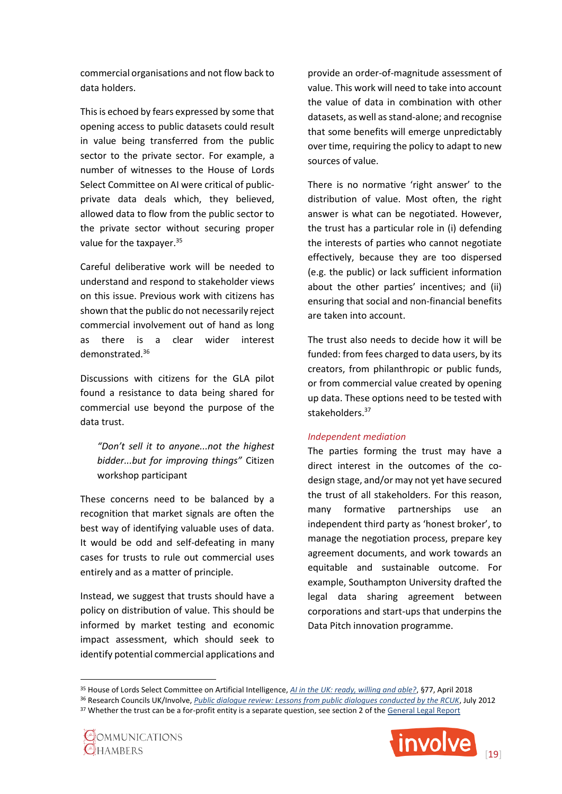commercial organisations and not flow back to data holders.

This is echoed by fears expressed by some that opening access to public datasets could result in value being transferred from the public sector to the private sector. For example, a number of witnesses to the House of Lords Select Committee on AI were critical of publicprivate data deals which, they believed, allowed data to flow from the public sector to the private sector without securing proper value for the taxpayer.<sup>35</sup>

Careful deliberative work will be needed to understand and respond to stakeholder views on this issue. Previous work with citizens has shown that the public do not necessarily reject commercial involvement out of hand as long as there is a clear wider interest demonstrated.<sup>36</sup>

Discussions with citizens for the GLA pilot found a resistance to data being shared for commercial use beyond the purpose of the data trust.

*"Don't sell it to anyone...not the highest bidder...but for improving things"* Citizen workshop participant

These concerns need to be balanced by a recognition that market signals are often the best way of identifying valuable uses of data. It would be odd and self-defeating in many cases for trusts to rule out commercial uses entirely and as a matter of principle.

Instead, we suggest that trusts should have a policy on distribution of value. This should be informed by market testing and economic impact assessment, which should seek to identify potential commercial applications and provide an order-of-magnitude assessment of value. This work will need to take into account the value of data in combination with other datasets, as well as stand-alone; and recognise that some benefits will emerge unpredictably over time, requiring the policy to adapt to new sources of value.

There is no normative 'right answer' to the distribution of value. Most often, the right answer is what can be negotiated. However, the trust has a particular role in (i) defending the interests of parties who cannot negotiate effectively, because they are too dispersed (e.g. the public) or lack sufficient information about the other parties' incentives; and (ii) ensuring that social and non-financial benefits are taken into account.

The trust also needs to decide how it will be funded: from fees charged to data users, by its creators, from philanthropic or public funds, or from commercial value created by opening up data. These options need to be tested with stakeholders.<sup>37</sup>

#### *Independent mediation*

The parties forming the trust may have a direct interest in the outcomes of the codesign stage, and/or may not yet have secured the trust of all stakeholders. For this reason, many formative partnerships use an independent third party as 'honest broker', to manage the negotiation process, prepare key agreement documents, and work towards an equitable and sustainable outcome. For example, Southampton University drafted the legal data sharing agreement between corporations and start-ups that underpins the Data Pitch innovation programme.

<sup>&</sup>lt;sup>37</sup> Whether the trust can be a for-profit entity is a separate question, see section 2 of the [General Legal Report](http://theodi.org/article/data-trusts-legal-report/)



1



<sup>35</sup> House of Lords Select Committee on Artificial Intelligence, *[AI in the UK: ready, willing and able?](https://publications.parliament.uk/pa/ld201719/ldselect/ldai/100/100.pdf)*, §77, April 2018

<sup>36</sup> Research Councils UK/Involve, *[Public dialogue review: Lessons from public dialogues conducted by the RCUK](https://www.involve.org.uk/sites/default/files/field/attachemnt/120727RCUKReview.pdf)*, July 2012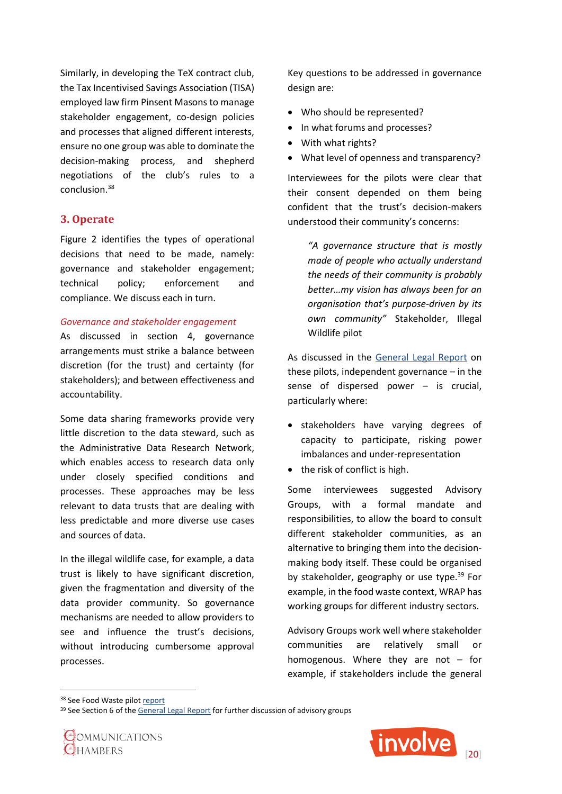Similarly, in developing the TeX contract club, the Tax Incentivised Savings Association (TISA) employed law firm Pinsent Masons to manage stakeholder engagement, co-design policies and processes that aligned different interests, ensure no one group was able to dominate the decision-making process, and shepherd negotiations of the club's rules to a conclusion.<sup>38</sup>

#### <span id="page-22-0"></span>**3. Operate**

[Figure 2](#page-17-3) identifies the types of operational decisions that need to be made, namely: governance and stakeholder engagement; technical policy; enforcement and compliance. We discuss each in turn.

#### *Governance and stakeholder engagement*

As discussed in section [4,](#page-12-0) governance arrangements must strike a balance between discretion (for the trust) and certainty (for stakeholders); and between effectiveness and accountability.

Some data sharing frameworks provide very little discretion to the data steward, such as the Administrative Data Research Network, which enables access to research data only under closely specified conditions and processes. These approaches may be less relevant to data trusts that are dealing with less predictable and more diverse use cases and sources of data.

In the illegal wildlife case, for example, a data trust is likely to have significant discretion, given the fragmentation and diversity of the data provider community. So governance mechanisms are needed to allow providers to see and influence the trust's decisions, without introducing cumbersome approval processes.

Key questions to be addressed in governance design are:

- Who should be represented?
- In what forums and processes?
- With what rights?
- What level of openness and transparency?

Interviewees for the pilots were clear that their consent depended on them being confident that the trust's decision-makers understood their community's concerns:

> *"A governance structure that is mostly made of people who actually understand the needs of their community is probably better…my vision has always been for an organisation that's purpose-driven by its own community"* Stakeholder, Illegal Wildlife pilot

As discussed in the [General Legal Report](http://theodi.org/article/data-trusts-legal-report/) on these pilots, independent governance – in the sense of dispersed power – is crucial, particularly where:

- stakeholders have varying degrees of capacity to participate, risking power imbalances and under-representation
- the risk of conflict is high.

Some interviewees suggested Advisory Groups, with a formal mandate and responsibilities, to allow the board to consult different stakeholder communities, as an alternative to bringing them into the decisionmaking body itself. These could be organised by stakeholder, geography or use type.<sup>39</sup> For example, in the food waste context, WRAP has working groups for different industry sectors.

Advisory Groups work well where stakeholder communities are relatively small or homogenous. Where they are not – for example, if stakeholders include the general

<sup>38</sup> See Food Waste pilo[t report](http://theodi.org/article/data-trusts-food-waste/)



<sup>&</sup>lt;sup>39</sup> See Section 6 of th[e General Legal Report](http://theodi.org/article/data-trusts-legal-report/) for further discussion of advisory groups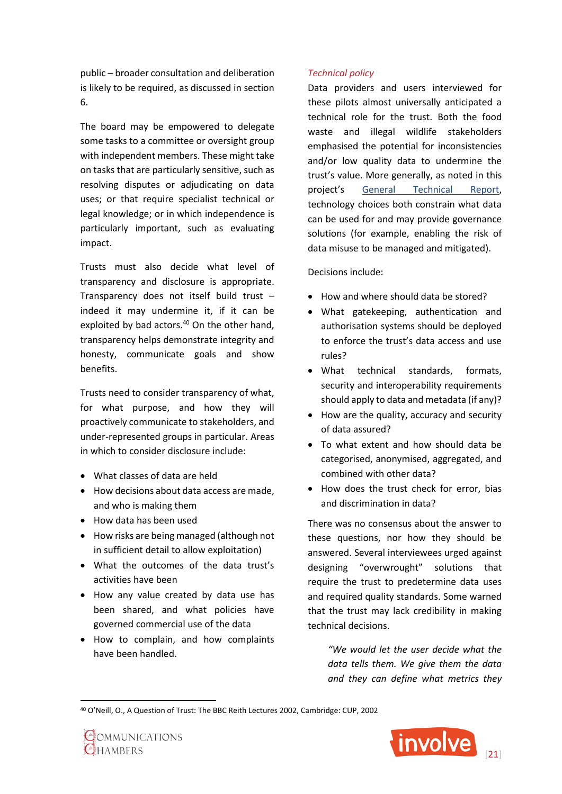public – broader consultation and deliberation is likely to be required, as discussed in section [6.](#page-27-0)

The board may be empowered to delegate some tasks to a committee or oversight group with independent members. These might take on tasks that are particularly sensitive, such as resolving disputes or adjudicating on data uses; or that require specialist technical or legal knowledge; or in which independence is particularly important, such as evaluating impact.

Trusts must also decide what level of transparency and disclosure is appropriate. Transparency does not itself build trust – indeed it may undermine it, if it can be exploited by bad actors.<sup>40</sup> On the other hand, transparency helps demonstrate integrity and honesty, communicate goals and show benefits.

Trusts need to consider transparency of what, for what purpose, and how they will proactively communicate to stakeholders, and under-represented groups in particular. Areas in which to consider disclosure include:

- What classes of data are held
- How decisions about data access are made, and who is making them
- How data has been used
- How risks are being managed (although not in sufficient detail to allow exploitation)
- What the outcomes of the data trust's activities have been
- How any value created by data use has been shared, and what policies have governed commercial use of the data
- How to complain, and how complaints have been handled.

#### *Technical policy*

Data providers and users interviewed for these pilots almost universally anticipated a technical role for the trust. Both the food waste and illegal wildlife stakeholders emphasised the potential for inconsistencies and/or low quality data to undermine the trust's value. More generally, as noted in this project's [General Technical Report,](http://theodi.org/article/data-trusts-tech/) technology choices both constrain what data can be used for and may provide governance solutions (for example, enabling the risk of data misuse to be managed and mitigated).

Decisions include:

- How and where should data be stored?
- What gatekeeping, authentication and authorisation systems should be deployed to enforce the trust's data access and use rules?
- What technical standards, formats, security and interoperability requirements should apply to data and metadata (if any)?
- How are the quality, accuracy and security of data assured?
- To what extent and how should data be categorised, anonymised, aggregated, and combined with other data?
- How does the trust check for error, bias and discrimination in data?

There was no consensus about the answer to these questions, nor how they should be answered. Several interviewees urged against designing "overwrought" solutions that require the trust to predetermine data uses and required quality standards. Some warned that the trust may lack credibility in making technical decisions.

> *"We would let the user decide what the data tells them. We give them the data and they can define what metrics they*

**.** 



<sup>40</sup> O'Neill, O., A Question of Trust: The BBC Reith Lectures 2002, Cambridge: CUP, 2002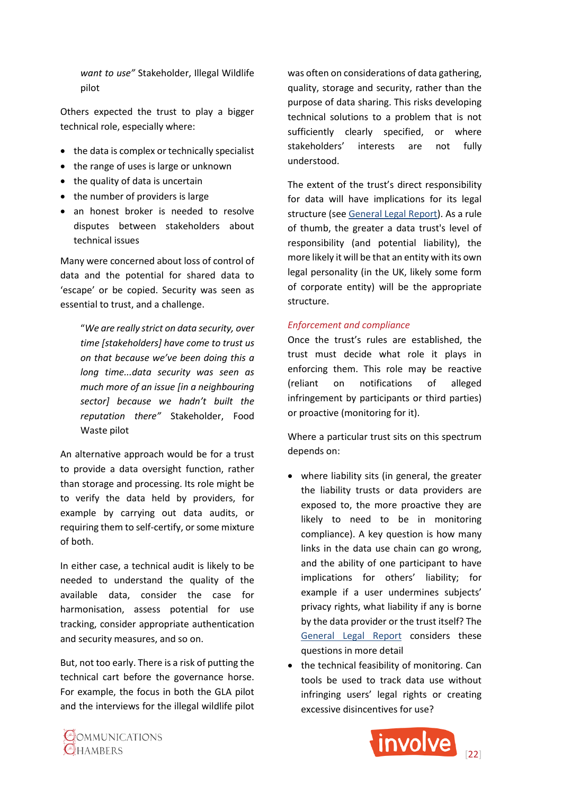*want to use"* Stakeholder, Illegal Wildlife pilot

Others expected the trust to play a bigger technical role, especially where:

- the data is complex or technically specialist
- the range of uses is large or unknown
- the quality of data is uncertain
- the number of providers is large
- an honest broker is needed to resolve disputes between stakeholders about technical issues

Many were concerned about loss of control of data and the potential for shared data to 'escape' or be copied. Security was seen as essential to trust, and a challenge.

"*We are really strict on data security, over time [stakeholders] have come to trust us on that because we've been doing this a long time...data security was seen as much more of an issue [in a neighbouring sector] because we hadn't built the reputation there"* Stakeholder, Food Waste pilot

An alternative approach would be for a trust to provide a data oversight function, rather than storage and processing. Its role might be to verify the data held by providers, for example by carrying out data audits, or requiring them to self-certify, or some mixture of both.

In either case, a technical audit is likely to be needed to understand the quality of the available data, consider the case for harmonisation, assess potential for use tracking, consider appropriate authentication and security measures, and so on.

But, not too early. There is a risk of putting the technical cart before the governance horse. For example, the focus in both the GLA pilot and the interviews for the illegal wildlife pilot was often on considerations of data gathering, quality, storage and security, rather than the purpose of data sharing. This risks developing technical solutions to a problem that is not sufficiently clearly specified, or where stakeholders' interests are not fully understood.

The extent of the trust's direct responsibility for data will have implications for its legal structure (see [General Legal Report\)](http://theodi.org/article/data-trusts-legal-report/). As a rule of thumb, the greater a data trust's level of responsibility (and potential liability), the more likely it will be that an entity with its own legal personality (in the UK, likely some form of corporate entity) will be the appropriate structure.

#### *Enforcement and compliance*

Once the trust's rules are established, the trust must decide what role it plays in enforcing them. This role may be reactive (reliant on notifications of alleged infringement by participants or third parties) or proactive (monitoring for it).

Where a particular trust sits on this spectrum depends on:

- where liability sits (in general, the greater the liability trusts or data providers are exposed to, the more proactive they are likely to need to be in monitoring compliance). A key question is how many links in the data use chain can go wrong, and the ability of one participant to have implications for others' liability; for example if a user undermines subjects' privacy rights, what liability if any is borne by the data provider or the trust itself? The [General Legal Report](http://theodi.org/article/data-trusts-legal-report/) considers these questions in more detail
- the technical feasibility of monitoring. Can tools be used to track data use without infringing users' legal rights or creating excessive disincentives for use?



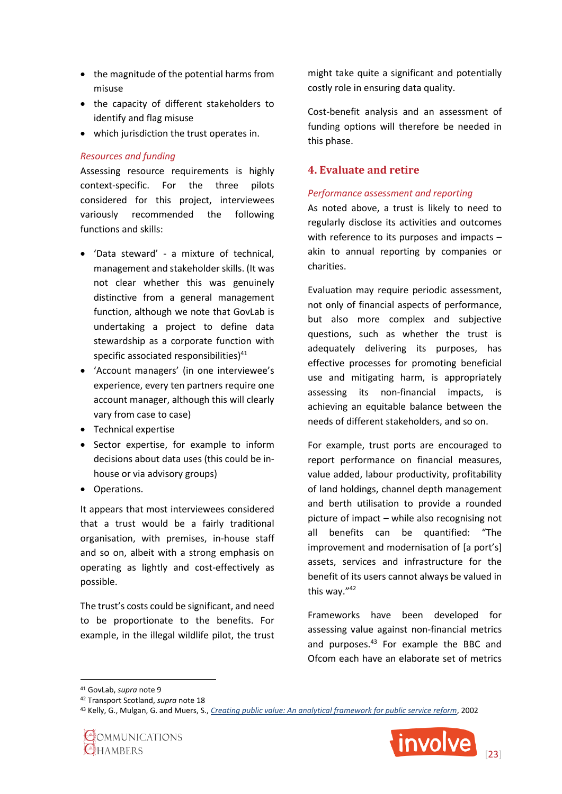- the magnitude of the potential harms from misuse
- the capacity of different stakeholders to identify and flag misuse
- which jurisdiction the trust operates in.

#### *Resources and funding*

Assessing resource requirements is highly context-specific. For the three pilots considered for this project, interviewees variously recommended the following functions and skills:

- 'Data steward' a mixture of technical, management and stakeholder skills. (It was not clear whether this was genuinely distinctive from a general management function, although we note that GovLab is undertaking a project to define data stewardship as a corporate function with specific associated responsibilities)<sup>41</sup>
- 'Account managers' (in one interviewee's experience, every ten partners require one account manager, although this will clearly vary from case to case)
- Technical expertise
- Sector expertise, for example to inform decisions about data uses (this could be inhouse or via advisory groups)
- Operations.

It appears that most interviewees considered that a trust would be a fairly traditional organisation, with premises, in-house staff and so on, albeit with a strong emphasis on operating as lightly and cost-effectively as possible.

The trust's costs could be significant, and need to be proportionate to the benefits. For example, in the illegal wildlife pilot, the trust might take quite a significant and potentially costly role in ensuring data quality.

Cost-benefit analysis and an assessment of funding options will therefore be needed in this phase.

## <span id="page-25-0"></span>**4. Evaluate and retire**

#### *Performance assessment and reporting*

As noted above, a trust is likely to need to regularly disclose its activities and outcomes with reference to its purposes and impacts akin to annual reporting by companies or charities.

Evaluation may require periodic assessment, not only of financial aspects of performance, but also more complex and subjective questions, such as whether the trust is adequately delivering its purposes, has effective processes for promoting beneficial use and mitigating harm, is appropriately assessing its non-financial impacts, is achieving an equitable balance between the needs of different stakeholders, and so on.

For example, trust ports are encouraged to report performance on financial measures, value added, labour productivity, profitability of land holdings, channel depth management and berth utilisation to provide a rounded picture of impact – while also recognising not all benefits can be quantified: "The improvement and modernisation of [a port's] assets, services and infrastructure for the benefit of its users cannot always be valued in this way." 42

Frameworks have been developed for assessing value against non-financial metrics and purposes.<sup>43</sup> For example the BBC and Ofcom each have an elaborate set of metrics

1

<sup>43</sup> Kelly, G., Mulgan, G. and Muers, S., *[Creating public value: An analytical framework for public service reform](https://webarchive.nationalarchives.gov.uk/20100407164622/http:/www.cabinetoffice.gov.uk/strategy/seminars/public_value.aspx)*, 2002





<sup>41</sup> GovLab, *supra* not[e 9](#page-12-2)

<sup>42</sup> Transport Scotland, *supra* not[e 18](#page-14-0)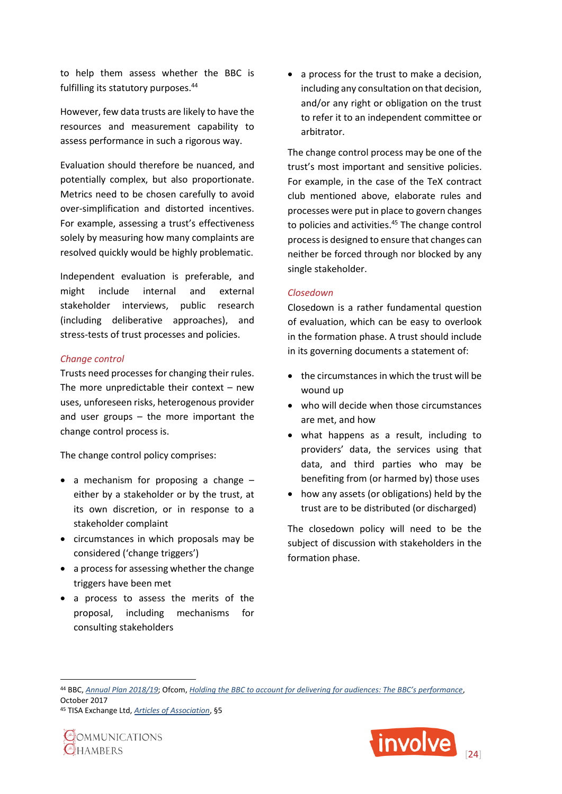to help them assess whether the BBC is fulfilling its statutory purposes.<sup>44</sup>

However, few data trusts are likely to have the resources and measurement capability to assess performance in such a rigorous way.

Evaluation should therefore be nuanced, and potentially complex, but also proportionate. Metrics need to be chosen carefully to avoid over-simplification and distorted incentives. For example, assessing a trust's effectiveness solely by measuring how many complaints are resolved quickly would be highly problematic.

Independent evaluation is preferable, and might include internal and external stakeholder interviews, public research (including deliberative approaches), and stress-tests of trust processes and policies.

#### *Change control*

Trusts need processes for changing their rules. The more unpredictable their context  $-$  new uses, unforeseen risks, heterogenous provider and user groups – the more important the change control process is.

The change control policy comprises:

- a mechanism for proposing a change either by a stakeholder or by the trust, at its own discretion, or in response to a stakeholder complaint
- circumstances in which proposals may be considered ('change triggers')
- a process for assessing whether the change triggers have been met
- a process to assess the merits of the proposal, including mechanisms for consulting stakeholders

• a process for the trust to make a decision, including any consultation on that decision, and/or any right or obligation on the trust to refer it to an independent committee or arbitrator.

The change control process may be one of the trust's most important and sensitive policies. For example, in the case of the TeX contract club mentioned above, elaborate rules and processes were put in place to govern changes to policies and activities. <sup>45</sup> The change control process is designed to ensure that changes can neither be forced through nor blocked by any single stakeholder.

#### *Closedown*

Closedown is a rather fundamental question of evaluation, which can be easy to overlook in the formation phase. A trust should include in its governing documents a statement of:

- the circumstances in which the trust will be wound up
- who will decide when those circumstances are met, and how
- what happens as a result, including to providers' data, the services using that data, and third parties who may be benefiting from (or harmed by) those uses
- how any assets (or obligations) held by the trust are to be distributed (or discharged)

The closedown policy will need to be the subject of discussion with stakeholders in the formation phase.

<sup>45</sup> TISA Exchange Ltd, *[Articles of Association](http://www.tisaexchange.co.uk/publications/9_TeXArticlesofAssociation.pdf)*, §5





<sup>44</sup> BBC, *[Annual Plan 2018/19](https://downloads.bbc.co.uk/aboutthebbc/insidethebbc/howwework/reports/pdf/bbc_annual_plan_2018.pdf)*; Ofcom, *[Holding the BBC to account for delivering for audiences: The BBC's performance](https://www.ofcom.org.uk/__data/assets/pdf_file/0023/107069/bbc-performance-statement.pdf)*, October 2017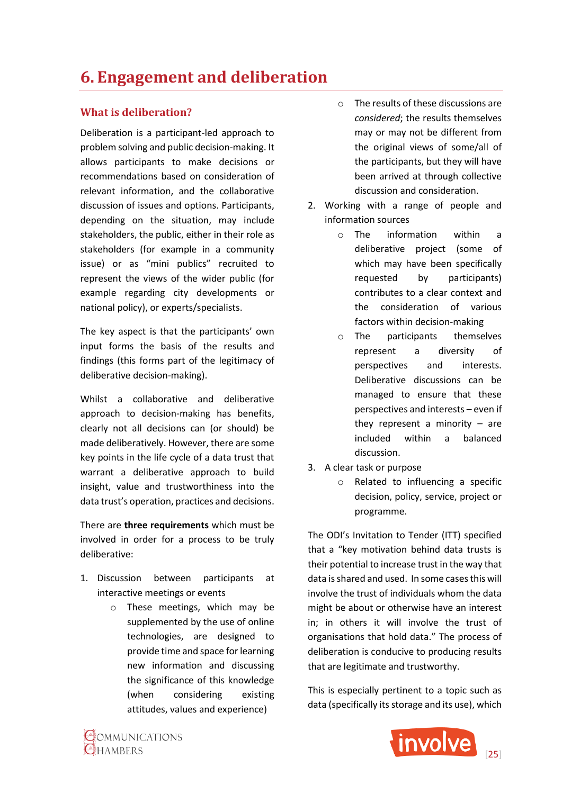# <span id="page-27-0"></span>**6. Engagement and deliberation**

### <span id="page-27-1"></span>**What is deliberation?**

Deliberation is a participant-led approach to problem solving and public decision-making. It allows participants to make decisions or recommendations based on consideration of relevant information, and the collaborative discussion of issues and options. Participants, depending on the situation, may include stakeholders, the public, either in their role as stakeholders (for example in a community issue) or as "mini publics" recruited to represent the views of the wider public (for example regarding city developments or national policy), or experts/specialists.

The key aspect is that the participants' own input forms the basis of the results and findings (this forms part of the legitimacy of deliberative decision-making).

Whilst a collaborative and deliberative approach to decision-making has benefits, clearly not all decisions can (or should) be made deliberatively. However, there are some key points in the life cycle of a data trust that warrant a deliberative approach to build insight, value and trustworthiness into the data trust's operation, practices and decisions.

There are **three requirements** which must be involved in order for a process to be truly deliberative:

- 1. Discussion between participants at interactive meetings or events
	- o These meetings, which may be supplemented by the use of online technologies, are designed to provide time and space for learning new information and discussing the significance of this knowledge (when considering existing attitudes, values and experience)
- o The results of these discussions are *considered*; the results themselves may or may not be different from the original views of some/all of the participants, but they will have been arrived at through collective discussion and consideration.
- 2. Working with a range of people and information sources
	- o The information within a deliberative project (some of which may have been specifically requested by participants) contributes to a clear context and the consideration of various factors within decision-making
	- o The participants themselves represent a diversity of perspectives and interests. Deliberative discussions can be managed to ensure that these perspectives and interests – even if they represent a minority  $-$  are included within a balanced discussion.
- 3. A clear task or purpose
	- o Related to influencing a specific decision, policy, service, project or programme.

The ODI's Invitation to Tender (ITT) specified that a "key motivation behind data trusts is their potential to increase trust in the way that data is shared and used. In some cases this will involve the trust of individuals whom the data might be about or otherwise have an interest in; in others it will involve the trust of organisations that hold data." The process of deliberation is conducive to producing results that are legitimate and trustworthy.

This is especially pertinent to a topic such as data (specifically its storage and its use), which



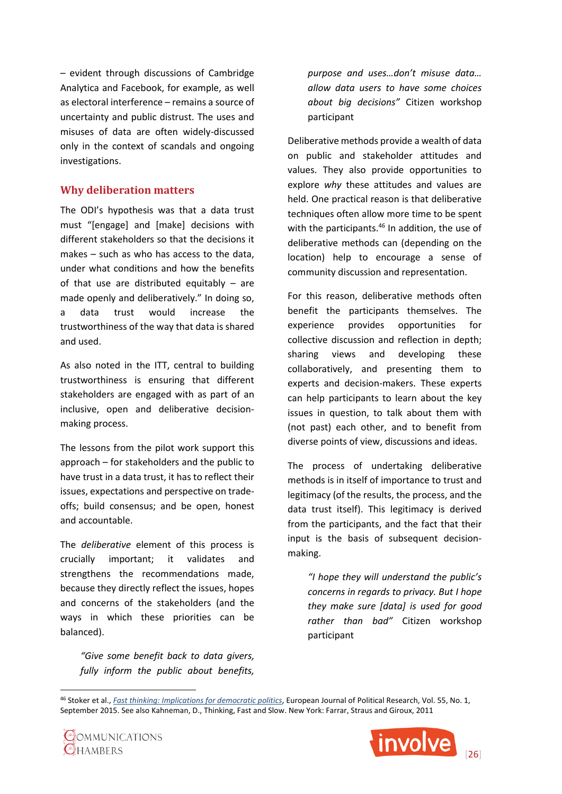– evident through discussions of Cambridge Analytica and Facebook, for example, as well as electoral interference – remains a source of uncertainty and public distrust. The uses and misuses of data are often widely-discussed only in the context of scandals and ongoing investigations.

#### <span id="page-28-0"></span>**Why deliberation matters**

The ODI's hypothesis was that a data trust must "[engage] and [make] decisions with different stakeholders so that the decisions it makes – such as who has access to the data, under what conditions and how the benefits of that use are distributed equitably – are made openly and deliberatively." In doing so, a data trust would increase the trustworthiness of the way that data is shared and used.

As also noted in the ITT, central to building trustworthiness is ensuring that different stakeholders are engaged with as part of an inclusive, open and deliberative decisionmaking process.

The lessons from the pilot work support this approach – for stakeholders and the public to have trust in a data trust, it has to reflect their issues, expectations and perspective on tradeoffs; build consensus; and be open, honest and accountable.

The *deliberative* element of this process is crucially important; it validates and strengthens the recommendations made, because they directly reflect the issues, hopes and concerns of the stakeholders (and the ways in which these priorities can be balanced).

*"Give some benefit back to data givers, fully inform the public about benefits,*  *purpose and uses…don't misuse data… allow data users to have some choices about big decisions"* Citizen workshop participant

Deliberative methods provide a wealth of data on public and stakeholder attitudes and values. They also provide opportunities to explore *why* these attitudes and values are held. One practical reason is that deliberative techniques often allow more time to be spent with the participants.<sup>46</sup> In addition, the use of deliberative methods can (depending on the location) help to encourage a sense of community discussion and representation.

For this reason, deliberative methods often benefit the participants themselves. The experience provides opportunities for collective discussion and reflection in depth; sharing views and developing these collaboratively, and presenting them to experts and decision-makers. These experts can help participants to learn about the key issues in question, to talk about them with (not past) each other, and to benefit from diverse points of view, discussions and ideas.

The process of undertaking deliberative methods is in itself of importance to trust and legitimacy (of the results, the process, and the data trust itself). This legitimacy is derived from the participants, and the fact that their input is the basis of subsequent decisionmaking.

> *"I hope they will understand the public's concerns in regards to privacy. But I hope they make sure [data] is used for good rather than bad"* Citizen workshop participant



<sup>46</sup> Stoker et al., *[Fast thinking: Implications for democratic politics](https://onlinelibrary.wiley.com/doi/full/10.1111/1475-6765.12113)*, European Journal of Political Research, Vol. 55, No. 1, September 2015. See also Kahneman, D., Thinking, Fast and Slow. New York: Farrar, Straus and Giroux, 2011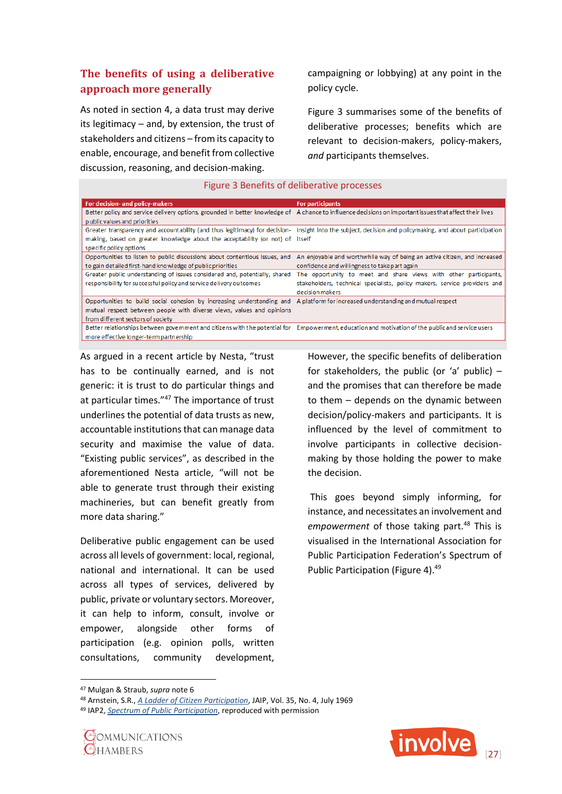## <span id="page-29-0"></span>**The benefits of using a deliberative approach more generally**

As noted in section [4,](#page-12-0) a data trust may derive its legitimacy – and, by extension, the trust of stakeholders and citizens – from its capacity to enable, encourage, and benefit from collective discussion, reasoning, and decision-making.

campaigning or lobbying) at any point in the policy cycle.

[Figure 3](#page-29-1) summarises some of the benefits of deliberative processes; benefits which are relevant to decision-makers, policy-makers, *and* participants themselves.

<span id="page-29-1"></span>

| <b>I INDICE OF DETICITIES OF METINETURITY CITY OF DECISION</b>                                                                                          |                                                                                                                                                          |
|---------------------------------------------------------------------------------------------------------------------------------------------------------|----------------------------------------------------------------------------------------------------------------------------------------------------------|
| For decision- and policy-makers                                                                                                                         | <b>For participants</b>                                                                                                                                  |
| Better policy and service delivery options, grounded in better knowledge of A chance to influence decisions on important issues that affect their lives |                                                                                                                                                          |
| public values and priorities                                                                                                                            |                                                                                                                                                          |
|                                                                                                                                                         | Greater transparency and accountability (and thus legitimacy) for decision- Insight into the subject, decision and policymaking, and about participation |
| making, based on greater knowledge about the acceptability (or not) of itself                                                                           |                                                                                                                                                          |
| specific policy options                                                                                                                                 |                                                                                                                                                          |
| Opportunities to listen to public discussions about contentious issues, and                                                                             | An enjoyable and worthwhile way of being an active citizen, and increased                                                                                |
| to gain detailed first-hand knowledge of public priorities                                                                                              | confidence and willingness to take part again                                                                                                            |
| Greater public understanding of issues considered and, potentially, shared                                                                              | The opportunity to meet and share views with other participants,                                                                                         |
| responsibility for successful policy and service delivery outcomes                                                                                      | stakeholders, technical specialists, policy makers, service providers and                                                                                |
|                                                                                                                                                         | decision makers                                                                                                                                          |
| Opportunities to build social cohesion by increasing understanding and                                                                                  | A platform for increased understanding and mutual respect                                                                                                |
| mutual respect between people with diverse views, values and opinions                                                                                   |                                                                                                                                                          |
| from different sectors of society                                                                                                                       |                                                                                                                                                          |
| Better relationships between govemment and citizens with the potential for Empowerment, education and motivation of the publicand service users         |                                                                                                                                                          |
| more effective longer-term partnership                                                                                                                  |                                                                                                                                                          |
|                                                                                                                                                         |                                                                                                                                                          |

Figure 3 Benefits of deliberative processes

As argued in a recent article by Nesta, "trust has to be continually earned, and is not generic: it is trust to do particular things and at particular times."<sup>47</sup> The importance of trust underlines the potential of data trusts as new, accountable institutions that can manage data security and maximise the value of data. "Existing public services", as described in the aforementioned Nesta article, "will not be able to generate trust through their existing machineries, but can benefit greatly from more data sharing."

Deliberative public engagement can be used across all levels of government: local, regional, national and international. It can be used across all types of services, delivered by public, private or voluntary sectors. Moreover, it can help to inform, consult, involve or empower, alongside other forms of participation (e.g. opinion polls, written consultations, community development,

However, the specific benefits of deliberation for stakeholders, the public (or 'a' public)  $$ and the promises that can therefore be made to them – depends on the dynamic between decision/policy-makers and participants. It is influenced by the level of commitment to involve participants in collective decisionmaking by those holding the power to make the decision.

This goes beyond simply informing, for instance, and necessitates an involvement and empowerment of those taking part.<sup>48</sup> This is visualised in the International Association for Public Participation Federation's Spectrum of Public Participation [\(Figure 4\)](#page-30-1).<sup>49</sup>

1



<sup>47</sup> Mulgan & Straub, *supra* not[e 6](#page-10-3)

<sup>48</sup> Arnstein, S.R., *[A Ladder of Citizen Participation](https://www.tandfonline.com/doi/abs/10.1080/01944366908977225)*, JAIP, Vol. 35, No. 4, July 1969 <sup>49</sup> IAP2, *[Spectrum of Public Participation](https://www.involve.org.uk/resources/knowledge-base/what/public-participation)*, reproduced with permission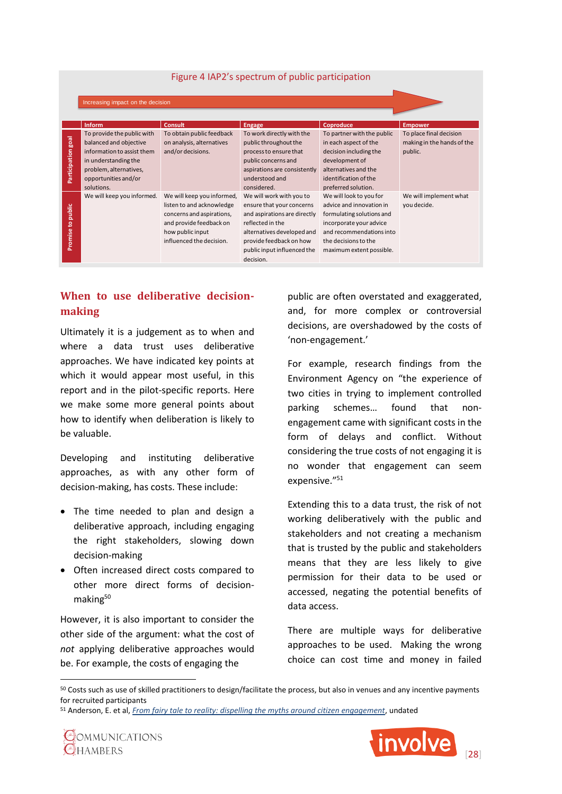#### Figure 4 IAP2's spectrum of public participation

<span id="page-30-1"></span>

|               | Increasing impact on the decision |                            |                              |                            |                            |
|---------------|-----------------------------------|----------------------------|------------------------------|----------------------------|----------------------------|
|               |                                   |                            |                              |                            |                            |
|               | Inform                            | <b>Consult</b>             | <b>Engage</b>                | Coproduce                  | <b>Empower</b>             |
|               | To provide the public with        | To obtain public feedback  | To work directly with the    | To partner with the public | To place final decision    |
| <b>leos</b>   | balanced and objective            | on analysis, alternatives  | public throughout the        | in each aspect of the      | making in the hands of the |
|               | information to assist them        | and/or decisions.          | process to ensure that       | decision including the     | public.                    |
| Participation | in understanding the              |                            | public concerns and          | development of             |                            |
|               | problem, alternatives,            |                            | aspirations are consistently | alternatives and the       |                            |
|               | opportunities and/or              |                            | understood and               | identification of the      |                            |
|               | solutions.                        |                            | considered.                  | preferred solution.        |                            |
|               | We will keep you informed.        | We will keep you informed, | We will work with you to     | We will look to you for    | We will implement what     |
|               |                                   | listen to and acknowledge  | ensure that your concerns    | advice and innovation in   | you decide.                |
| public        |                                   | concerns and aspirations,  | and aspirations are directly | formulating solutions and  |                            |
| ខ             |                                   | and provide feedback on    | reflected in the             | incorporate your advice    |                            |
|               |                                   | how public input           | alternatives developed and   | and recommendations into   |                            |
| Promise       |                                   | influenced the decision.   | provide feedback on how      | the decisions to the       |                            |
|               |                                   |                            | public input influenced the  | maximum extent possible.   |                            |
|               |                                   |                            | decision.                    |                            |                            |

## <span id="page-30-0"></span>**When to use deliberative decisionmaking**

Ultimately it is a judgement as to when and where a data trust uses deliberative approaches. We have indicated key points at which it would appear most useful, in this report and in the pilot-specific reports. Here we make some more general points about how to identify when deliberation is likely to be valuable.

Developing and instituting deliberative approaches, as with any other form of decision-making, has costs. These include:

- The time needed to plan and design a deliberative approach, including engaging the right stakeholders, slowing down decision-making
- Often increased direct costs compared to other more direct forms of decisionmaking<sup>50</sup>

However, it is also important to consider the other side of the argument: what the cost of *not* applying deliberative approaches would be. For example, the costs of engaging the

public are often overstated and exaggerated, and, for more complex or controversial decisions, are overshadowed by the costs of 'non-engagement.'

For example, research findings from the Environment Agency on "the experience of two cities in trying to implement controlled parking schemes… found that nonengagement came with significant costs in the form of delays and conflict. Without considering the true costs of not engaging it is no wonder that engagement can seem expensive."<sup>51</sup>

Extending this to a data trust, the risk of not working deliberatively with the public and stakeholders and not creating a mechanism that is trusted by the public and stakeholders means that they are less likely to give permission for their data to be used or accessed, negating the potential benefits of data access.

There are multiple ways for deliberative approaches to be used. Making the wrong choice can cost time and money in failed

<sup>51</sup> Anderson, E. et al, *[From fairy tale to reality: dispelling the myths around citizen engagement](https://www.involve.org.uk/sites/default/files/field/attachemnt/From-Fairy-Tale-to-Reality_3.pdf)*, undated





<sup>50</sup> Costs such as use of skilled practitioners to design/facilitate the process, but also in venues and any incentive payments for recruited participants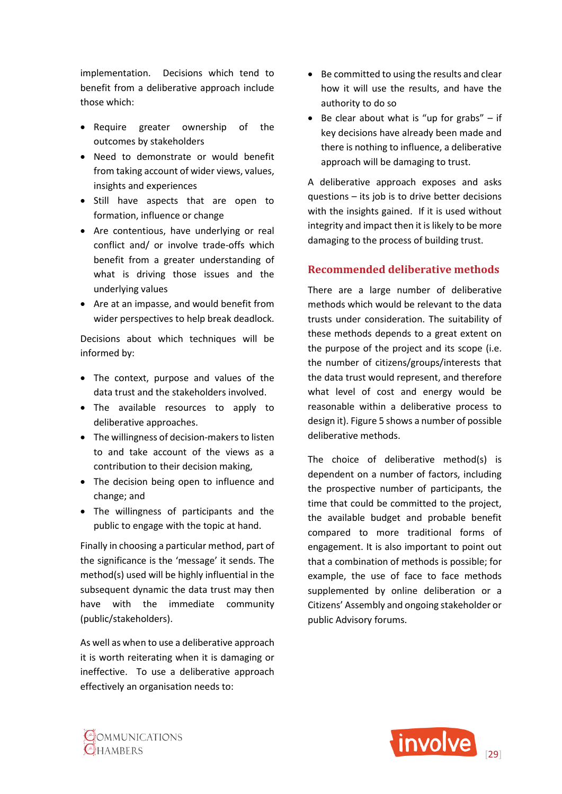implementation. Decisions which tend to benefit from a deliberative approach include those which:

- Require greater ownership of the outcomes by stakeholders
- Need to demonstrate or would benefit from taking account of wider views, values, insights and experiences
- Still have aspects that are open to formation, influence or change
- Are contentious, have underlying or real conflict and/ or involve trade-offs which benefit from a greater understanding of what is driving those issues and the underlying values
- Are at an impasse, and would benefit from wider perspectives to help break deadlock.

Decisions about which techniques will be informed by:

- The context, purpose and values of the data trust and the stakeholders involved.
- The available resources to apply to deliberative approaches.
- The willingness of decision-makers to listen to and take account of the views as a contribution to their decision making,
- The decision being open to influence and change; and
- The willingness of participants and the public to engage with the topic at hand.

Finally in choosing a particular method, part of the significance is the 'message' it sends. The method(s) used will be highly influential in the subsequent dynamic the data trust may then have with the immediate community (public/stakeholders).

As well as when to use a deliberative approach it is worth reiterating when it is damaging or ineffective. To use a deliberative approach effectively an organisation needs to:

- Be committed to using the results and clear how it will use the results, and have the authority to do so
- Be clear about what is "up for grabs"  $-$  if key decisions have already been made and there is nothing to influence, a deliberative approach will be damaging to trust.

A deliberative approach exposes and asks questions – its job is to drive better decisions with the insights gained. If it is used without integrity and impact then it is likely to be more damaging to the process of building trust.

## <span id="page-31-0"></span>**Recommended deliberative methods**

There are a large number of deliberative methods which would be relevant to the data trusts under consideration. The suitability of these methods depends to a great extent on the purpose of the project and its scope (i.e. the number of citizens/groups/interests that the data trust would represent, and therefore what level of cost and energy would be reasonable within a deliberative process to design it)[. Figure 5](#page-32-0) shows a number of possible deliberative methods.

The choice of deliberative method(s) is dependent on a number of factors, including the prospective number of participants, the time that could be committed to the project, the available budget and probable benefit compared to more traditional forms of engagement. It is also important to point out that a combination of methods is possible; for example, the use of face to face methods supplemented by online deliberation or a Citizens' Assembly and ongoing stakeholder or public Advisory forums.



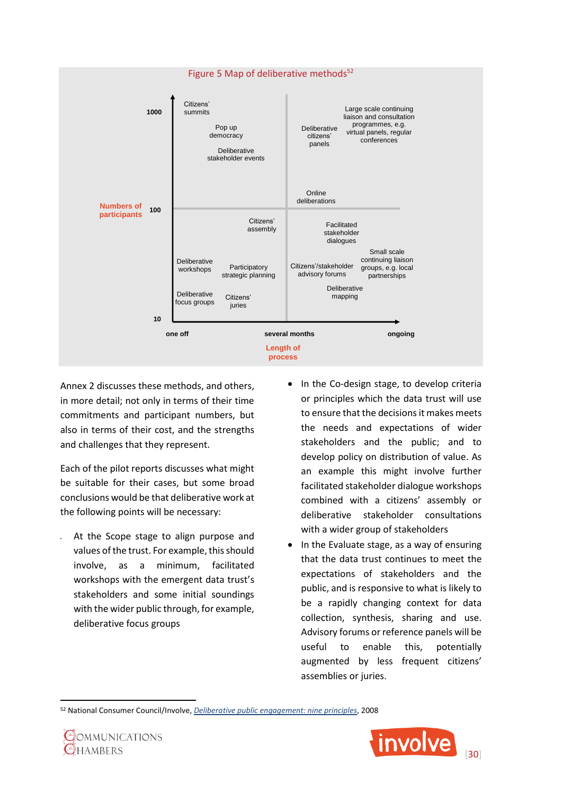<span id="page-32-0"></span>

Annex 2 discusses these methods, and others, in more detail; not only in terms of their time commitments and participant numbers, but also in terms of their cost, and the strengths and challenges that they represent.

Each of the pilot reports discusses what might be suitable for their cases, but some broad conclusions would be that deliberative work at the following points will be necessary:

- At the Scope stage to align purpose and values of the trust. For example, this should involve, as a minimum, facilitated workshops with the emergent data trust's stakeholders and some initial soundings with the wider public through, for example, deliberative focus groups
- In the Co-design stage, to develop criteria or principles which the data trust will use to ensure that the decisions it makes meets the needs and expectations of wider stakeholders and the public; and to develop policy on distribution of value. As an example this might involve further facilitated stakeholder dialogue workshops combined with a citizens' assembly or deliberative stakeholder consultations with a wider group of stakeholders
- In the Evaluate stage, as a way of ensuring that the data trust continues to meet the expectations of stakeholders and the public, and is responsive to what is likely to be a rapidly changing context for data collection, synthesis, sharing and use. Advisory forums or reference panels will be useful to enable this, potentially augmented by less frequent citizens' assemblies or juries.

<sup>52</sup> National Consumer Council/Involve, *[Deliberative public engagement: nine principles](https://www.involve.org.uk/sites/default/files/field/attachemnt/Deliberative-public-engagement-nine-principles.pdf)*, 2008



 $\overline{\phantom{a}}$ 

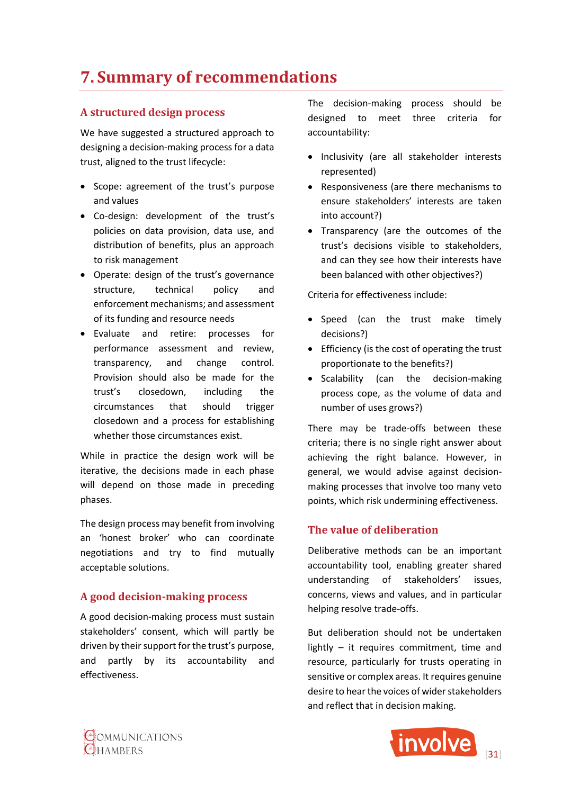# <span id="page-33-0"></span>**7. Summary of recommendations**

#### **A structured design process**

We have suggested a structured approach to designing a decision-making process for a data trust, aligned to the trust lifecycle:

- Scope: agreement of the trust's purpose and values
- Co-design: development of the trust's policies on data provision, data use, and distribution of benefits, plus an approach to risk management
- Operate: design of the trust's governance structure, technical policy and enforcement mechanisms; and assessment of its funding and resource needs
- Evaluate and retire: processes for performance assessment and review, transparency, and change control. Provision should also be made for the trust's closedown, including the circumstances that should trigger closedown and a process for establishing whether those circumstances exist.

While in practice the design work will be iterative, the decisions made in each phase will depend on those made in preceding phases.

The design process may benefit from involving an 'honest broker' who can coordinate negotiations and try to find mutually acceptable solutions.

### **A good decision-making process**

A good decision-making process must sustain stakeholders' consent, which will partly be driven by their support for the trust's purpose, and partly by its accountability and effectiveness.

The decision-making process should be designed to meet three criteria for accountability:

- Inclusivity (are all stakeholder interests represented)
- Responsiveness (are there mechanisms to ensure stakeholders' interests are taken into account?)
- Transparency (are the outcomes of the trust's decisions visible to stakeholders, and can they see how their interests have been balanced with other objectives?)

Criteria for effectiveness include:

- Speed (can the trust make timely decisions?)
- Efficiency (is the cost of operating the trust proportionate to the benefits?)
- Scalability (can the decision-making process cope, as the volume of data and number of uses grows?)

There may be trade-offs between these criteria; there is no single right answer about achieving the right balance. However, in general, we would advise against decisionmaking processes that involve too many veto points, which risk undermining effectiveness.

### **The value of deliberation**

Deliberative methods can be an important accountability tool, enabling greater shared understanding of stakeholders' issues, concerns, views and values, and in particular helping resolve trade-offs.

But deliberation should not be undertaken lightly – it requires commitment, time and resource, particularly for trusts operating in sensitive or complex areas. It requires genuine desire to hear the voices of wider stakeholders and reflect that in decision making.



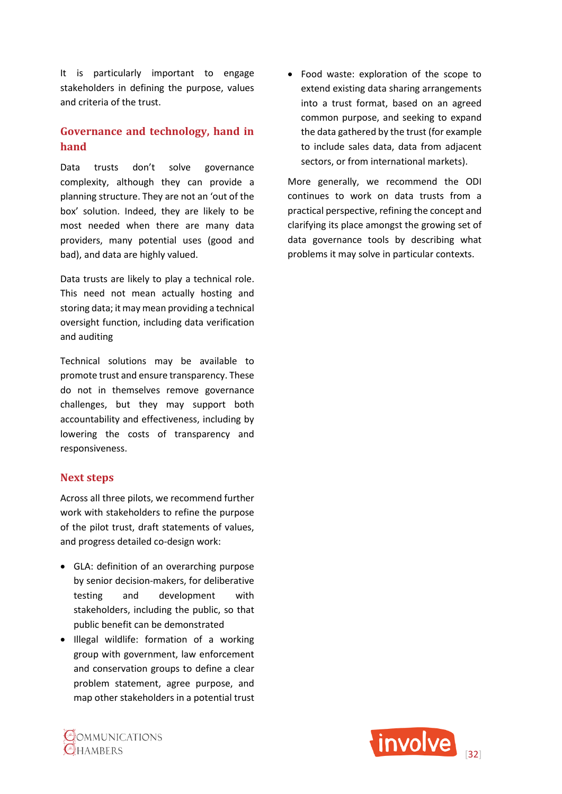It is particularly important to engage stakeholders in defining the purpose, values and criteria of the trust.

## **Governance and technology, hand in hand**

Data trusts don't solve governance complexity, although they can provide a planning structure. They are not an 'out of the box' solution. Indeed, they are likely to be most needed when there are many data providers, many potential uses (good and bad), and data are highly valued.

Data trusts are likely to play a technical role. This need not mean actually hosting and storing data; it may mean providing a technical oversight function, including data verification and auditing

Technical solutions may be available to promote trust and ensure transparency. These do not in themselves remove governance challenges, but they may support both accountability and effectiveness, including by lowering the costs of transparency and responsiveness.

#### **Next steps**

Across all three pilots, we recommend further work with stakeholders to refine the purpose of the pilot trust, draft statements of values, and progress detailed co-design work:

- GLA: definition of an overarching purpose by senior decision-makers, for deliberative testing and development with stakeholders, including the public, so that public benefit can be demonstrated
- Illegal wildlife: formation of a working group with government, law enforcement and conservation groups to define a clear problem statement, agree purpose, and map other stakeholders in a potential trust



• Food waste: exploration of the scope to extend existing data sharing arrangements into a trust format, based on an agreed common purpose, and seeking to expand the data gathered by the trust (for example to include sales data, data from adjacent sectors, or from international markets).

More generally, we recommend the ODI continues to work on data trusts from a practical perspective, refining the concept and clarifying its place amongst the growing set of data governance tools by describing what problems it may solve in particular contexts.

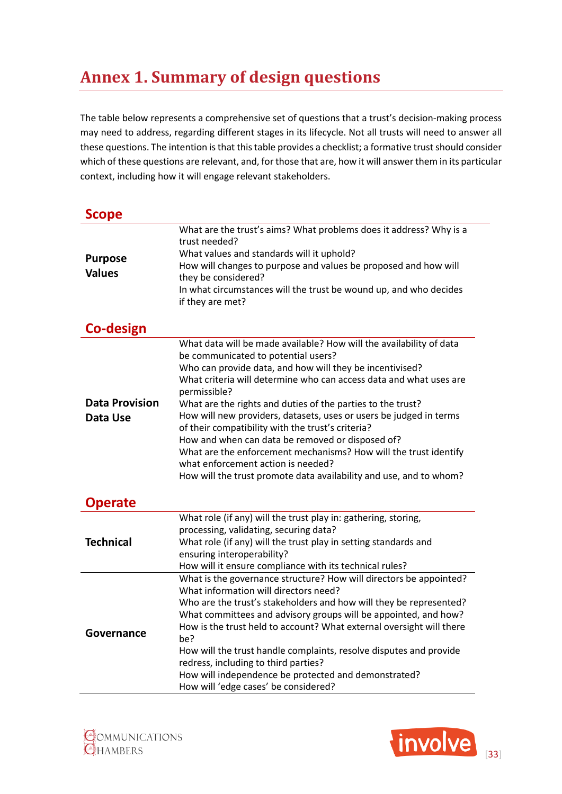# <span id="page-35-0"></span>**Annex 1. Summary of design questions**

The table below represents a comprehensive set of questions that a trust's decision-making process may need to address, regarding different stages in its lifecycle. Not all trusts will need to answer all these questions. The intention is that this table provides a checklist; a formative trust should consider which of these questions are relevant, and, for those that are, how it will answer them in its particular context, including how it will engage relevant stakeholders.

| <b>Scope</b>                             |                                                                                                                                                                                                                                                                                                                                                                                                                                                                                                                                                                                                                                                                                            |
|------------------------------------------|--------------------------------------------------------------------------------------------------------------------------------------------------------------------------------------------------------------------------------------------------------------------------------------------------------------------------------------------------------------------------------------------------------------------------------------------------------------------------------------------------------------------------------------------------------------------------------------------------------------------------------------------------------------------------------------------|
| <b>Purpose</b><br><b>Values</b>          | What are the trust's aims? What problems does it address? Why is a<br>trust needed?<br>What values and standards will it uphold?<br>How will changes to purpose and values be proposed and how will<br>they be considered?<br>In what circumstances will the trust be wound up, and who decides<br>if they are met?                                                                                                                                                                                                                                                                                                                                                                        |
| <b>Co-design</b>                         |                                                                                                                                                                                                                                                                                                                                                                                                                                                                                                                                                                                                                                                                                            |
| <b>Data Provision</b><br><b>Data Use</b> | What data will be made available? How will the availability of data<br>be communicated to potential users?<br>Who can provide data, and how will they be incentivised?<br>What criteria will determine who can access data and what uses are<br>permissible?<br>What are the rights and duties of the parties to the trust?<br>How will new providers, datasets, uses or users be judged in terms<br>of their compatibility with the trust's criteria?<br>How and when can data be removed or disposed of?<br>What are the enforcement mechanisms? How will the trust identify<br>what enforcement action is needed?<br>How will the trust promote data availability and use, and to whom? |
| <b>Operate</b>                           |                                                                                                                                                                                                                                                                                                                                                                                                                                                                                                                                                                                                                                                                                            |
| <b>Technical</b>                         | What role (if any) will the trust play in: gathering, storing,<br>processing, validating, securing data?<br>What role (if any) will the trust play in setting standards and<br>ensuring interoperability?<br>How will it ensure compliance with its technical rules?                                                                                                                                                                                                                                                                                                                                                                                                                       |
| Governance                               | What is the governance structure? How will directors be appointed?<br>What information will directors need?<br>Who are the trust's stakeholders and how will they be represented?<br>What committees and advisory groups will be appointed, and how?<br>How is the trust held to account? What external oversight will there<br>be?<br>How will the trust handle complaints, resolve disputes and provide<br>redress, including to third parties?<br>How will independence be protected and demonstrated?<br>How will 'edge cases' be considered?                                                                                                                                          |

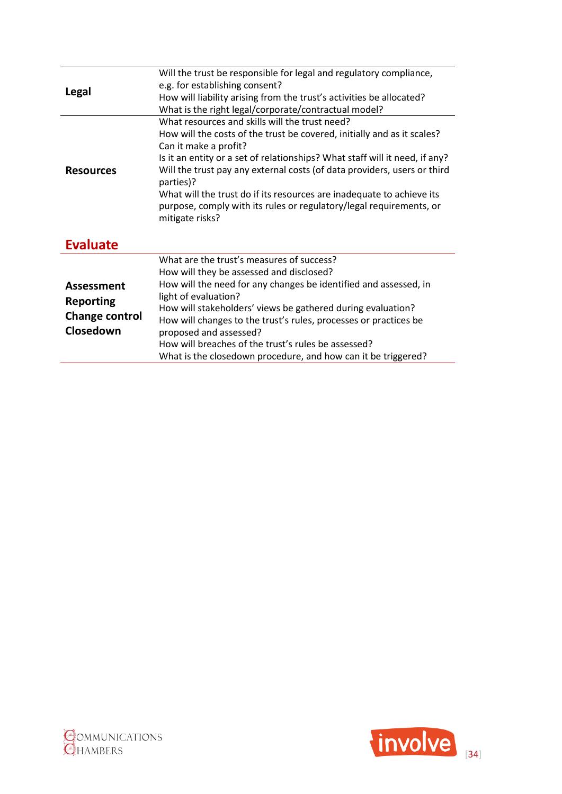|                       | Will the trust be responsible for legal and regulatory compliance,                    |
|-----------------------|---------------------------------------------------------------------------------------|
|                       | e.g. for establishing consent?                                                        |
| <b>Legal</b>          | How will liability arising from the trust's activities be allocated?                  |
|                       | What is the right legal/corporate/contractual model?                                  |
|                       | What resources and skills will the trust need?                                        |
|                       | How will the costs of the trust be covered, initially and as it scales?               |
|                       | Can it make a profit?                                                                 |
|                       | Is it an entity or a set of relationships? What staff will it need, if any?           |
| <b>Resources</b>      | Will the trust pay any external costs (of data providers, users or third<br>parties)? |
|                       | What will the trust do if its resources are inadequate to achieve its                 |
|                       | purpose, comply with its rules or regulatory/legal requirements, or                   |
|                       | mitigate risks?                                                                       |
|                       |                                                                                       |
| <b>Evaluate</b>       |                                                                                       |
|                       | What are the trust's measures of success?                                             |
|                       | How will they be assessed and disclosed?                                              |
| <b>Assessment</b>     | How will the need for any changes be identified and assessed, in                      |
| <b>Reporting</b>      | light of evaluation?                                                                  |
|                       | How will stakeholders' views be gathered during evaluation?                           |
| <b>Change control</b> | How will changes to the trust's rules, processes or practices be                      |
| Closedown             | proposed and assessed?                                                                |
|                       | How will breaches of the trust's rules be assessed?                                   |
|                       | What is the closedown procedure, and how can it be triggered?                         |



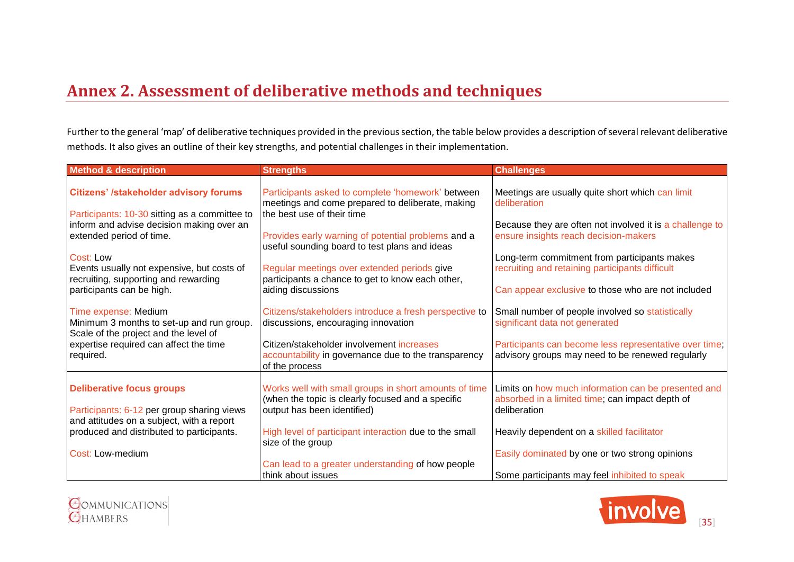## **Annex 2. Assessment of deliberative methods and techniques**

Further to the general 'map' of deliberative techniques provided in the previous section, the table below provides a description of several relevant deliberative methods. It also gives an outline of their key strengths, and potential challenges in their implementation.

<span id="page-37-0"></span>

| <b>Method &amp; description</b>                                                                            | <b>Strengths</b>                                                                                                    | <b>Challenges</b>                                                                                          |
|------------------------------------------------------------------------------------------------------------|---------------------------------------------------------------------------------------------------------------------|------------------------------------------------------------------------------------------------------------|
| <b>Citizens' /stakeholder advisory forums</b>                                                              | Participants asked to complete 'homework' between<br>meetings and come prepared to deliberate, making               | Meetings are usually quite short which can limit<br>deliberation                                           |
| Participants: 10-30 sitting as a committee to                                                              | the best use of their time                                                                                          |                                                                                                            |
| inform and advise decision making over an                                                                  |                                                                                                                     | Because they are often not involved it is a challenge to                                                   |
| extended period of time.                                                                                   | Provides early warning of potential problems and a<br>useful sounding board to test plans and ideas                 | ensure insights reach decision-makers                                                                      |
| <b>Cost: Low</b>                                                                                           |                                                                                                                     | Long-term commitment from participants makes                                                               |
| Events usually not expensive, but costs of<br>recruiting, supporting and rewarding                         | Regular meetings over extended periods give<br>participants a chance to get to know each other,                     | recruiting and retaining participants difficult                                                            |
| participants can be high.                                                                                  | aiding discussions                                                                                                  | Can appear exclusive to those who are not included                                                         |
| Time expense: Medium<br>Minimum 3 months to set-up and run group.<br>Scale of the project and the level of | Citizens/stakeholders introduce a fresh perspective to<br>discussions, encouraging innovation                       | Small number of people involved so statistically<br>significant data not generated                         |
| expertise required can affect the time<br>required.                                                        | Citizen/stakeholder involvement increases<br>accountability in governance due to the transparency<br>of the process | Participants can become less representative over time;<br>advisory groups may need to be renewed regularly |
|                                                                                                            |                                                                                                                     |                                                                                                            |
| <b>Deliberative focus groups</b>                                                                           | Works well with small groups in short amounts of time<br>(when the topic is clearly focused and a specific          | Limits on how much information can be presented and<br>absorbed in a limited time, can impact depth of     |
| Participants: 6-12 per group sharing views                                                                 | output has been identified)                                                                                         | deliberation                                                                                               |
| and attitudes on a subject, with a report                                                                  |                                                                                                                     |                                                                                                            |
| produced and distributed to participants.                                                                  | High level of participant interaction due to the small                                                              | Heavily dependent on a skilled facilitator                                                                 |
| Cost: Low-medium                                                                                           | size of the group                                                                                                   |                                                                                                            |
|                                                                                                            | Can lead to a greater understanding of how people                                                                   | Easily dominated by one or two strong opinions                                                             |
|                                                                                                            |                                                                                                                     |                                                                                                            |
|                                                                                                            | think about issues                                                                                                  | Some participants may feel inhibited to speak                                                              |



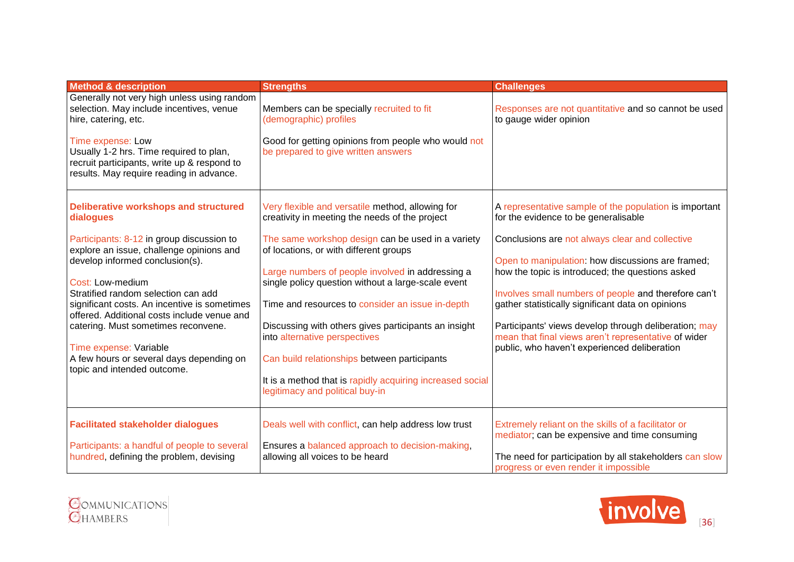| <b>Method &amp; description</b>                                                                                                                                                                                                                                                                                                                                                                                                | <b>Strengths</b>                                                                                                                                                                                                                                                                                                                                                                                                                                                | <b>Challenges</b>                                                                                                                                                                                                                                                                                                                                                                                                                      |
|--------------------------------------------------------------------------------------------------------------------------------------------------------------------------------------------------------------------------------------------------------------------------------------------------------------------------------------------------------------------------------------------------------------------------------|-----------------------------------------------------------------------------------------------------------------------------------------------------------------------------------------------------------------------------------------------------------------------------------------------------------------------------------------------------------------------------------------------------------------------------------------------------------------|----------------------------------------------------------------------------------------------------------------------------------------------------------------------------------------------------------------------------------------------------------------------------------------------------------------------------------------------------------------------------------------------------------------------------------------|
| Generally not very high unless using random<br>selection. May include incentives, venue<br>hire, catering, etc.                                                                                                                                                                                                                                                                                                                | Members can be specially recruited to fit<br>(demographic) profiles                                                                                                                                                                                                                                                                                                                                                                                             | Responses are not quantitative and so cannot be used<br>to gauge wider opinion                                                                                                                                                                                                                                                                                                                                                         |
| Time expense: Low<br>Usually 1-2 hrs. Time required to plan,<br>recruit participants, write up & respond to<br>results. May require reading in advance.                                                                                                                                                                                                                                                                        | Good for getting opinions from people who would not<br>be prepared to give written answers                                                                                                                                                                                                                                                                                                                                                                      |                                                                                                                                                                                                                                                                                                                                                                                                                                        |
| <b>Deliberative workshops and structured</b><br>dialogues                                                                                                                                                                                                                                                                                                                                                                      | Very flexible and versatile method, allowing for<br>creativity in meeting the needs of the project                                                                                                                                                                                                                                                                                                                                                              | A representative sample of the population is important<br>for the evidence to be generalisable                                                                                                                                                                                                                                                                                                                                         |
| Participants: 8-12 in group discussion to<br>explore an issue, challenge opinions and<br>develop informed conclusion(s).<br>Cost: Low-medium<br>Stratified random selection can add<br>significant costs. An incentive is sometimes<br>offered. Additional costs include venue and<br>catering. Must sometimes reconvene.<br>Time expense: Variable<br>A few hours or several days depending on<br>topic and intended outcome. | The same workshop design can be used in a variety<br>of locations, or with different groups<br>Large numbers of people involved in addressing a<br>single policy question without a large-scale event<br>Time and resources to consider an issue in-depth<br>Discussing with others gives participants an insight<br>into alternative perspectives<br>Can build relationships between participants<br>It is a method that is rapidly acquiring increased social | Conclusions are not always clear and collective<br>Open to manipulation: how discussions are framed;<br>how the topic is introduced; the questions asked<br>Involves small numbers of people and therefore can't<br>gather statistically significant data on opinions<br>Participants' views develop through deliberation; may<br>mean that final views aren't representative of wider<br>public, who haven't experienced deliberation |
|                                                                                                                                                                                                                                                                                                                                                                                                                                | legitimacy and political buy-in                                                                                                                                                                                                                                                                                                                                                                                                                                 |                                                                                                                                                                                                                                                                                                                                                                                                                                        |
| <b>Facilitated stakeholder dialogues</b>                                                                                                                                                                                                                                                                                                                                                                                       | Deals well with conflict, can help address low trust                                                                                                                                                                                                                                                                                                                                                                                                            | Extremely reliant on the skills of a facilitator or<br>mediator; can be expensive and time consuming                                                                                                                                                                                                                                                                                                                                   |
| Participants: a handful of people to several<br>hundred, defining the problem, devising                                                                                                                                                                                                                                                                                                                                        | Ensures a balanced approach to decision-making,<br>allowing all voices to be heard                                                                                                                                                                                                                                                                                                                                                                              | The need for participation by all stakeholders can slow<br>progress or even render it impossible                                                                                                                                                                                                                                                                                                                                       |



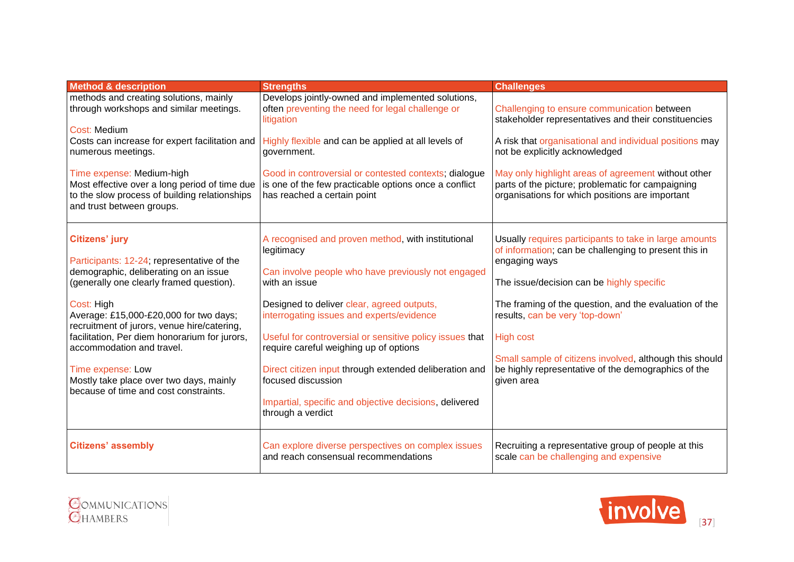| <b>Method &amp; description</b>                                                                                                                          | <b>Strengths</b>                                                                                                                              | <b>Challenges</b>                                                                                                                                           |
|----------------------------------------------------------------------------------------------------------------------------------------------------------|-----------------------------------------------------------------------------------------------------------------------------------------------|-------------------------------------------------------------------------------------------------------------------------------------------------------------|
| methods and creating solutions, mainly<br>through workshops and similar meetings.<br>Cost: Medium                                                        | Develops jointly-owned and implemented solutions,<br>often preventing the need for legal challenge or<br>litigation                           | Challenging to ensure communication between<br>stakeholder representatives and their constituencies                                                         |
| numerous meetings.                                                                                                                                       | Costs can increase for expert facilitation and Highly flexible and can be applied at all levels of<br>government.                             | A risk that organisational and individual positions may<br>not be explicitly acknowledged                                                                   |
| Time expense: Medium-high<br>Most effective over a long period of time due<br>to the slow process of building relationships<br>and trust between groups. | Good in controversial or contested contexts; dialogue<br>is one of the few practicable options once a conflict<br>has reached a certain point | May only highlight areas of agreement without other<br>parts of the picture; problematic for campaigning<br>organisations for which positions are important |
| <b>Citizens' jury</b><br>Participants: 12-24; representative of the                                                                                      | A recognised and proven method, with institutional<br>legitimacy                                                                              | Usually requires participants to take in large amounts<br>of information; can be challenging to present this in<br>engaging ways                            |
| demographic, deliberating on an issue<br>(generally one clearly framed question).                                                                        | Can involve people who have previously not engaged<br>with an issue                                                                           | The issue/decision can be highly specific                                                                                                                   |
| Cost: High<br>Average: £15,000-£20,000 for two days;<br>recruitment of jurors, venue hire/catering,                                                      | Designed to deliver clear, agreed outputs,<br>interrogating issues and experts/evidence                                                       | The framing of the question, and the evaluation of the<br>results, can be very 'top-down'                                                                   |
| facilitation, Per diem honorarium for jurors,<br>accommodation and travel.                                                                               | Useful for controversial or sensitive policy issues that<br>require careful weighing up of options                                            | <b>High cost</b>                                                                                                                                            |
| Time expense: Low<br>Mostly take place over two days, mainly<br>because of time and cost constraints.                                                    | Direct citizen input through extended deliberation and<br>focused discussion                                                                  | Small sample of citizens involved, although this should<br>be highly representative of the demographics of the<br>given area                                |
|                                                                                                                                                          | Impartial, specific and objective decisions, delivered<br>through a verdict                                                                   |                                                                                                                                                             |
| <b>Citizens' assembly</b>                                                                                                                                | Can explore diverse perspectives on complex issues<br>and reach consensual recommendations                                                    | Recruiting a representative group of people at this<br>scale can be challenging and expensive                                                               |



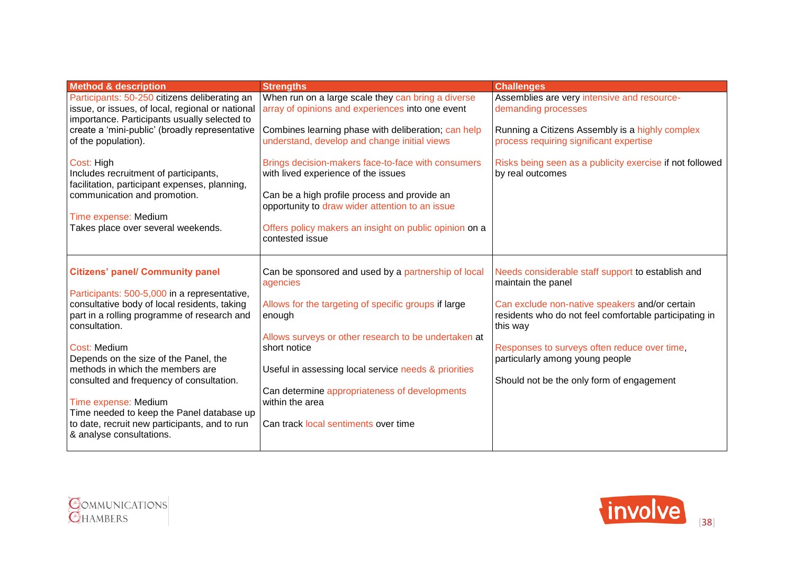| <b>Method &amp; description</b>                                                                  | <b>Strengths</b>                                       | <b>Challenges</b>                                                               |
|--------------------------------------------------------------------------------------------------|--------------------------------------------------------|---------------------------------------------------------------------------------|
| Participants: 50-250 citizens deliberating an                                                    | When run on a large scale they can bring a diverse     | Assemblies are very intensive and resource-                                     |
| issue, or issues, of local, regional or national<br>importance. Participants usually selected to | array of opinions and experiences into one event       | demanding processes                                                             |
| create a 'mini-public' (broadly representative                                                   | Combines learning phase with deliberation; can help    | Running a Citizens Assembly is a highly complex                                 |
| of the population).                                                                              | understand, develop and change initial views           | process requiring significant expertise                                         |
| Cost: High                                                                                       | Brings decision-makers face-to-face with consumers     | Risks being seen as a publicity exercise if not followed                        |
| Includes recruitment of participants,<br>facilitation, participant expenses, planning,           | with lived experience of the issues                    | by real outcomes                                                                |
| communication and promotion.                                                                     | Can be a high profile process and provide an           |                                                                                 |
| Time expense: Medium                                                                             | opportunity to draw wider attention to an issue        |                                                                                 |
| Takes place over several weekends.                                                               | Offers policy makers an insight on public opinion on a |                                                                                 |
|                                                                                                  | contested issue                                        |                                                                                 |
|                                                                                                  |                                                        |                                                                                 |
| <b>Citizens' panel/ Community panel</b>                                                          | Can be sponsored and used by a partnership of local    | Needs considerable staff support to establish and                               |
| Participants: 500-5,000 in a representative,                                                     | agencies                                               | maintain the panel                                                              |
| consultative body of local residents, taking                                                     | Allows for the targeting of specific groups if large   | Can exclude non-native speakers and/or certain                                  |
| part in a rolling programme of research and<br>consultation.                                     | enough                                                 | residents who do not feel comfortable participating in<br>this way              |
|                                                                                                  | Allows surveys or other research to be undertaken at   |                                                                                 |
| Cost: Medium<br>Depends on the size of the Panel, the                                            | short notice                                           | Responses to surveys often reduce over time,<br>particularly among young people |
| methods in which the members are                                                                 | Useful in assessing local service needs & priorities   |                                                                                 |
| consulted and frequency of consultation.                                                         | Can determine appropriateness of developments          | Should not be the only form of engagement                                       |
| Time expense: Medium                                                                             | within the area                                        |                                                                                 |
| Time needed to keep the Panel database up<br>to date, recruit new participants, and to run       | Can track local sentiments over time                   |                                                                                 |
| & analyse consultations.                                                                         |                                                        |                                                                                 |
|                                                                                                  |                                                        |                                                                                 |



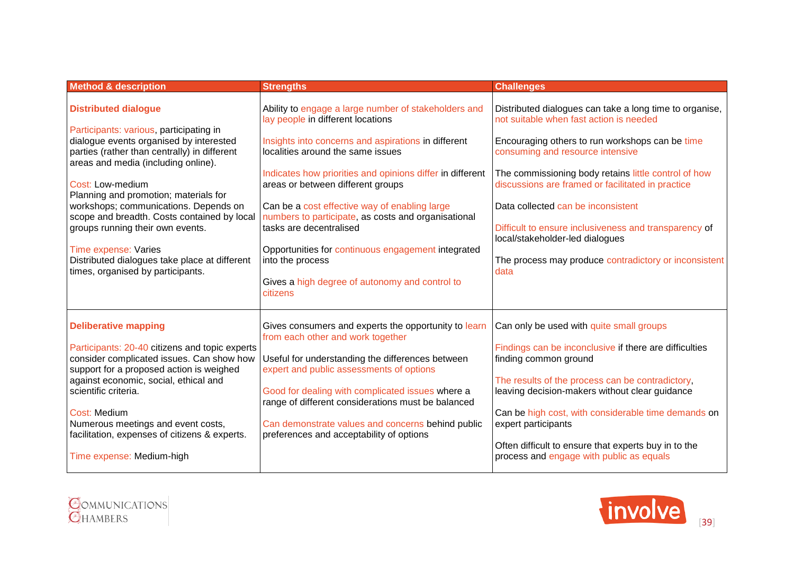| <b>Method &amp; description</b>                                                                                                                                           | <b>Strengths</b>                                                                                       | <b>Challenges</b>                                                                                         |
|---------------------------------------------------------------------------------------------------------------------------------------------------------------------------|--------------------------------------------------------------------------------------------------------|-----------------------------------------------------------------------------------------------------------|
| <b>Distributed dialogue</b>                                                                                                                                               | Ability to engage a large number of stakeholders and<br>lay people in different locations              | Distributed dialogues can take a long time to organise,<br>not suitable when fast action is needed        |
| Participants: various, participating in<br>dialogue events organised by interested<br>parties (rather than centrally) in different<br>areas and media (including online). | Insights into concerns and aspirations in different<br>localities around the same issues               | Encouraging others to run workshops can be time<br>consuming and resource intensive                       |
| Cost: Low-medium<br>Planning and promotion; materials for                                                                                                                 | Indicates how priorities and opinions differ in different<br>areas or between different groups         | The commissioning body retains little control of how<br>discussions are framed or facilitated in practice |
| workshops; communications. Depends on<br>scope and breadth. Costs contained by local                                                                                      | Can be a cost effective way of enabling large<br>numbers to participate, as costs and organisational   | Data collected can be inconsistent                                                                        |
| groups running their own events.                                                                                                                                          | tasks are decentralised                                                                                | Difficult to ensure inclusiveness and transparency of<br>local/stakeholder-led dialogues                  |
| <b>Time expense: Varies</b><br>Distributed dialogues take place at different<br>times, organised by participants.                                                         | Opportunities for continuous engagement integrated<br>into the process                                 | The process may produce contradictory or inconsistent<br>data                                             |
|                                                                                                                                                                           | Gives a high degree of autonomy and control to<br>citizens                                             |                                                                                                           |
| <b>Deliberative mapping</b>                                                                                                                                               | Gives consumers and experts the opportunity to learn<br>from each other and work together              | Can only be used with quite small groups                                                                  |
| Participants: 20-40 citizens and topic experts                                                                                                                            |                                                                                                        | Findings can be inconclusive if there are difficulties                                                    |
| consider complicated issues. Can show how<br>support for a proposed action is weighed                                                                                     | Useful for understanding the differences between<br>expert and public assessments of options           | finding common ground                                                                                     |
| against economic, social, ethical and                                                                                                                                     |                                                                                                        | The results of the process can be contradictory,                                                          |
| scientific criteria.                                                                                                                                                      | Good for dealing with complicated issues where a<br>range of different considerations must be balanced | leaving decision-makers without clear guidance                                                            |
| Cost: Medium                                                                                                                                                              |                                                                                                        | Can be high cost, with considerable time demands on                                                       |
| Numerous meetings and event costs,<br>facilitation, expenses of citizens & experts.                                                                                       | Can demonstrate values and concerns behind public<br>preferences and acceptability of options          | expert participants                                                                                       |
| Time expense: Medium-high                                                                                                                                                 |                                                                                                        | Often difficult to ensure that experts buy in to the<br>process and engage with public as equals          |
|                                                                                                                                                                           |                                                                                                        |                                                                                                           |



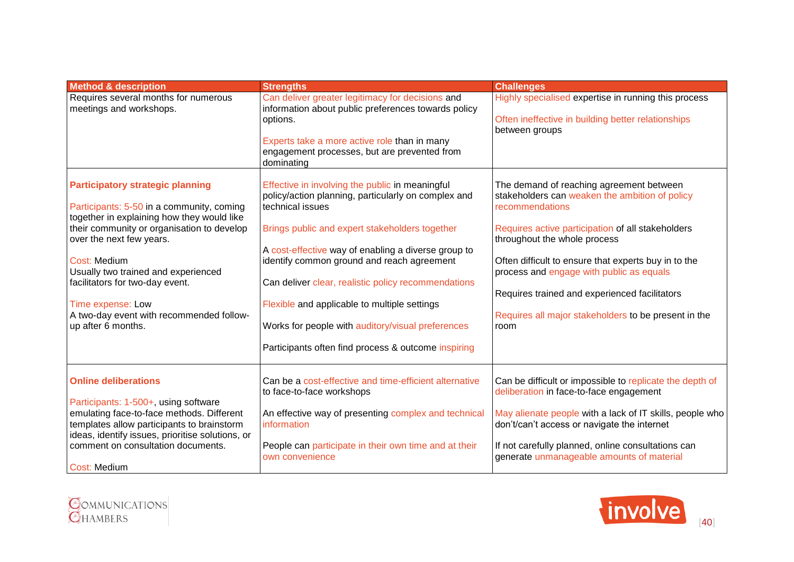| <b>Method &amp; description</b>                                                                | <b>Strengths</b>                                                        | <b>Challenges</b>                                                    |
|------------------------------------------------------------------------------------------------|-------------------------------------------------------------------------|----------------------------------------------------------------------|
| Requires several months for numerous                                                           | Can deliver greater legitimacy for decisions and                        | Highly specialised expertise in running this process                 |
| meetings and workshops.                                                                        | information about public preferences towards policy                     |                                                                      |
|                                                                                                | options.                                                                | Often ineffective in building better relationships<br>between groups |
|                                                                                                | Experts take a more active role than in many                            |                                                                      |
|                                                                                                | engagement processes, but are prevented from                            |                                                                      |
|                                                                                                | dominating                                                              |                                                                      |
|                                                                                                |                                                                         |                                                                      |
| <b>Participatory strategic planning</b>                                                        | Effective in involving the public in meaningful                         | The demand of reaching agreement between                             |
| Participants: 5-50 in a community, coming                                                      | policy/action planning, particularly on complex and<br>technical issues | stakeholders can weaken the ambition of policy<br>recommendations    |
| together in explaining how they would like                                                     |                                                                         |                                                                      |
| their community or organisation to develop                                                     | Brings public and expert stakeholders together                          | Requires active participation of all stakeholders                    |
| over the next few years.                                                                       |                                                                         | throughout the whole process                                         |
|                                                                                                | A cost-effective way of enabling a diverse group to                     |                                                                      |
| Cost: Medium                                                                                   | identify common ground and reach agreement                              | Often difficult to ensure that experts buy in to the                 |
| Usually two trained and experienced                                                            |                                                                         | process and engage with public as equals                             |
| facilitators for two-day event.                                                                | Can deliver clear, realistic policy recommendations                     | Requires trained and experienced facilitators                        |
| Time expense: Low                                                                              | Flexible and applicable to multiple settings                            |                                                                      |
| A two-day event with recommended follow-                                                       |                                                                         | Requires all major stakeholders to be present in the                 |
| up after 6 months.                                                                             | Works for people with auditory/visual preferences                       | room                                                                 |
|                                                                                                |                                                                         |                                                                      |
|                                                                                                | Participants often find process & outcome inspiring                     |                                                                      |
|                                                                                                |                                                                         |                                                                      |
| <b>Online deliberations</b>                                                                    | Can be a cost-effective and time-efficient alternative                  | Can be difficult or impossible to replicate the depth of             |
|                                                                                                | to face-to-face workshops                                               | deliberation in face-to-face engagement                              |
| Participants: 1-500+, using software                                                           |                                                                         |                                                                      |
| emulating face-to-face methods. Different                                                      | An effective way of presenting complex and technical<br>information     | May alienate people with a lack of IT skills, people who             |
| templates allow participants to brainstorm<br>ideas, identify issues, prioritise solutions, or |                                                                         | don't/can't access or navigate the internet                          |
| comment on consultation documents.                                                             | People can participate in their own time and at their                   | If not carefully planned, online consultations can                   |
|                                                                                                | own convenience                                                         | generate unmanageable amounts of material                            |
| Cost: Medium                                                                                   |                                                                         |                                                                      |